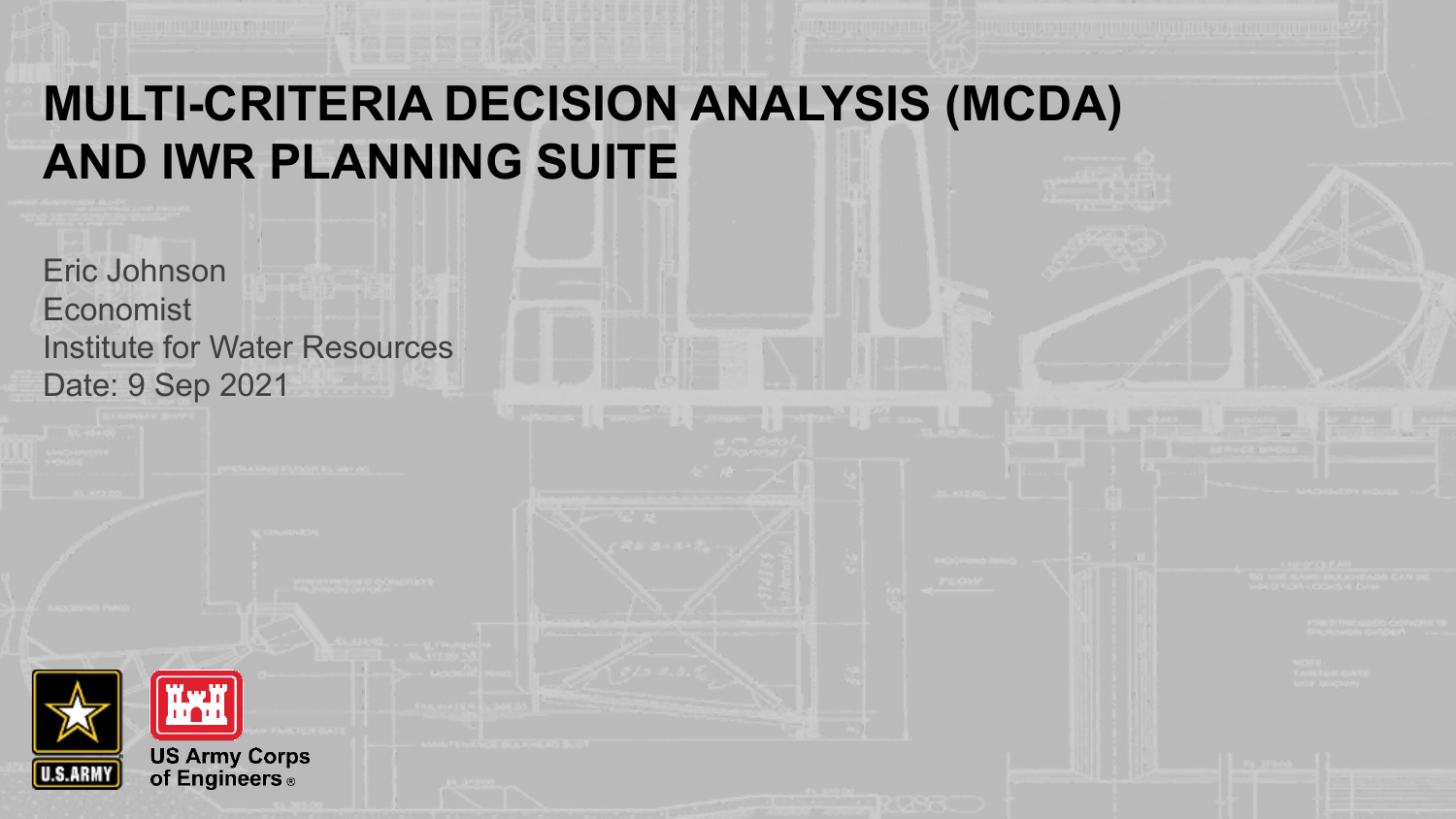#### **MULTI-CRITERIA DECISION ANALYSIS (MCDA) AND IWR PLANNING SUITE**

Eric Johnson Economist Institute for Water Resources Date: 9 Sep 2021

**US Army Corps<br>of Engineers** ®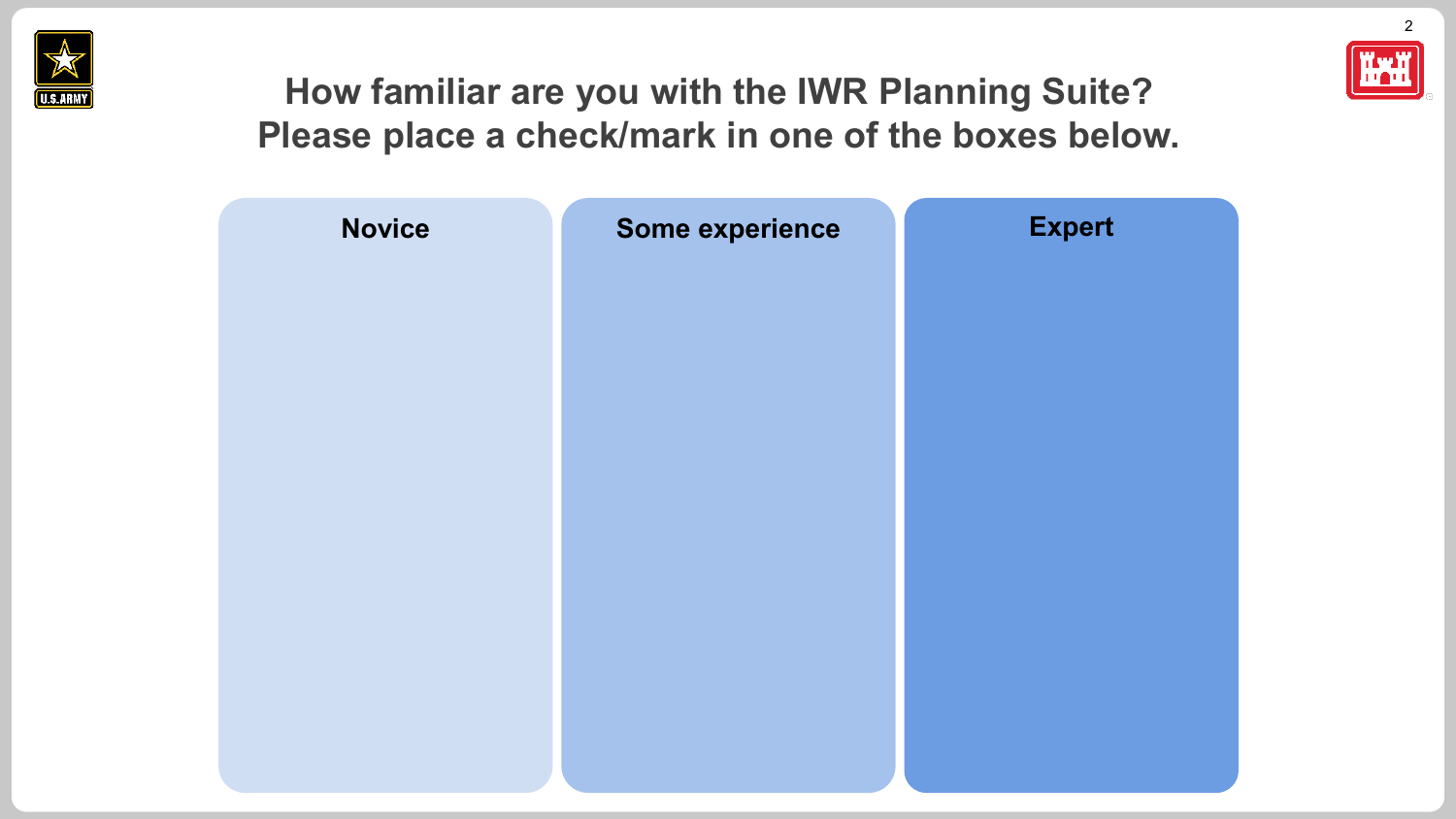



2

#### **How familiar are you with the IWR Planning Suite? Please place a check/mark in one of the boxes below.**

| <b>Novice</b> | Some experience | <b>Expert</b> |
|---------------|-----------------|---------------|
|               |                 |               |
|               |                 |               |
|               |                 |               |
|               |                 |               |
|               |                 |               |
|               |                 |               |
|               |                 |               |
|               |                 |               |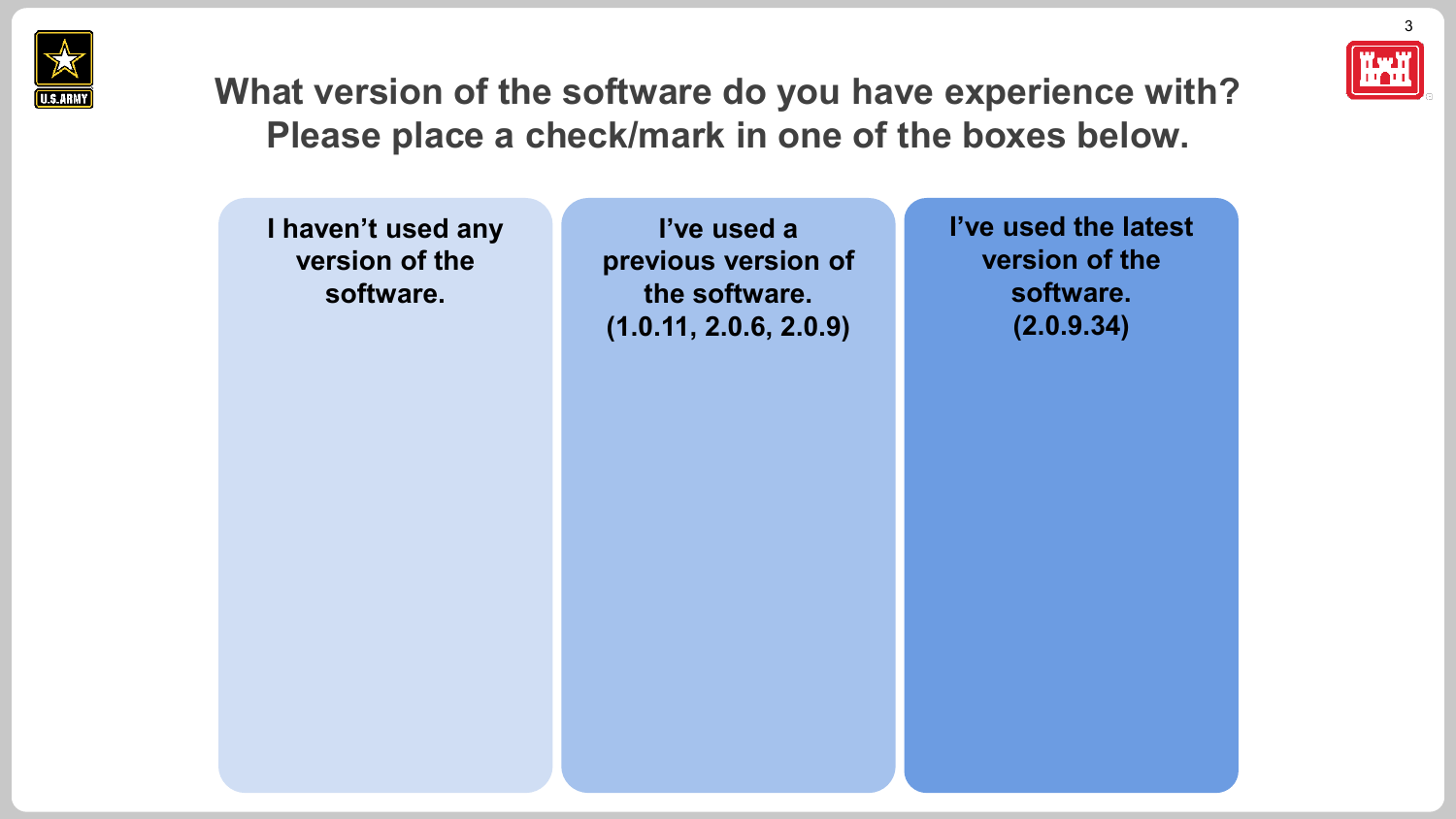



3

**What version of the software do you have experience with? Please place a check/mark in one of the boxes below.**

**I haven't used any version of the software.**

**I've used a previous version of the software. (1.0.11, 2.0.6, 2.0.9)**

**I've used the latest version of the software. (2.0.9.34)**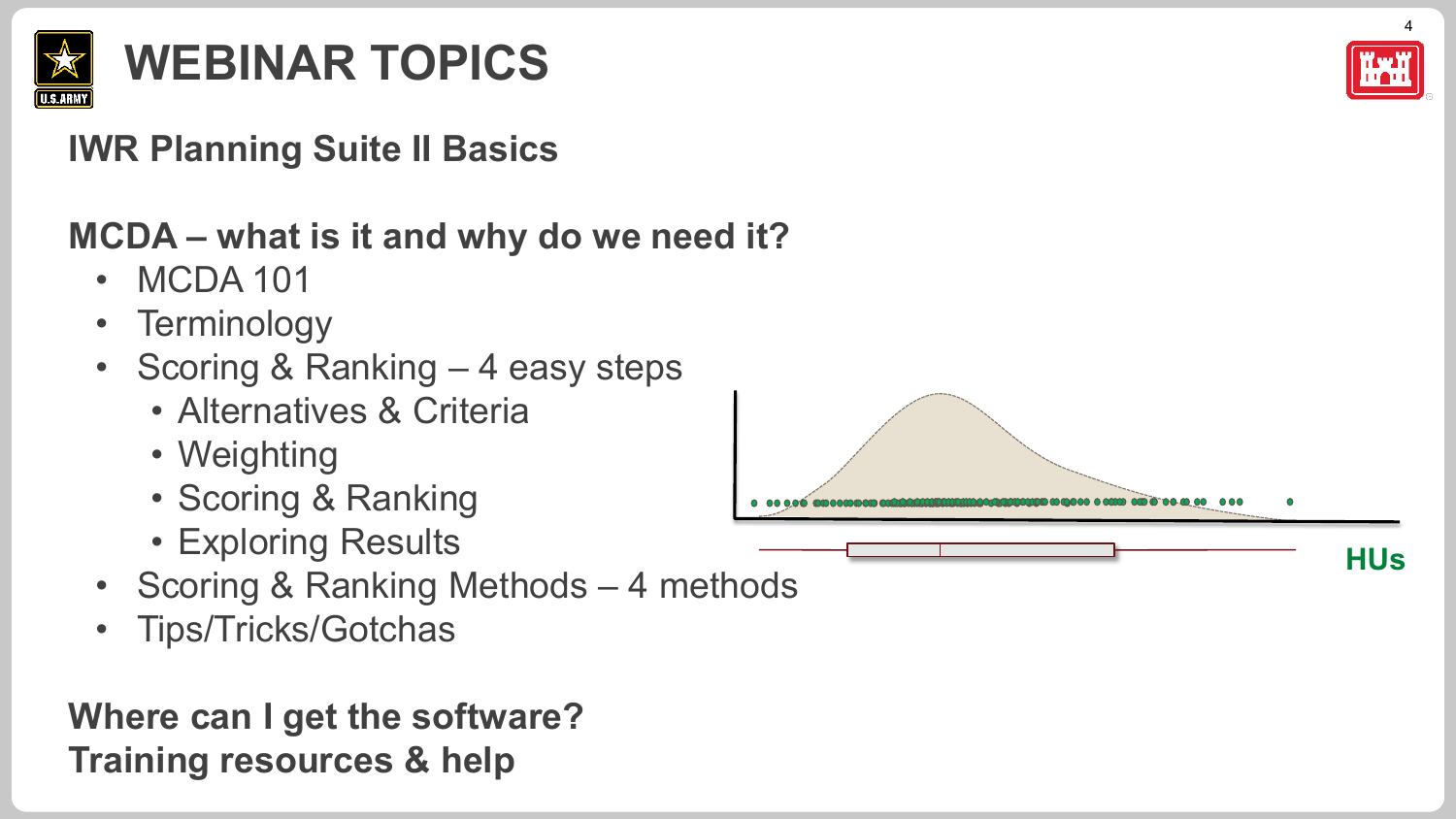

## **WEBINAR TOPICS**

#### **IWR Planning Suite II Basics**

#### **MCDA – what is it and why do we need it?**

- MCDA 101
- Terminology
- Scoring & Ranking 4 easy steps
	- Alternatives & Criteria
	- Weighting
	- Scoring & Ranking
	- Exploring Results
- Scoring & Ranking Methods 4 methods
- Tips/Tricks/Gotchas

#### **Where can I get the software? Training resources & help**



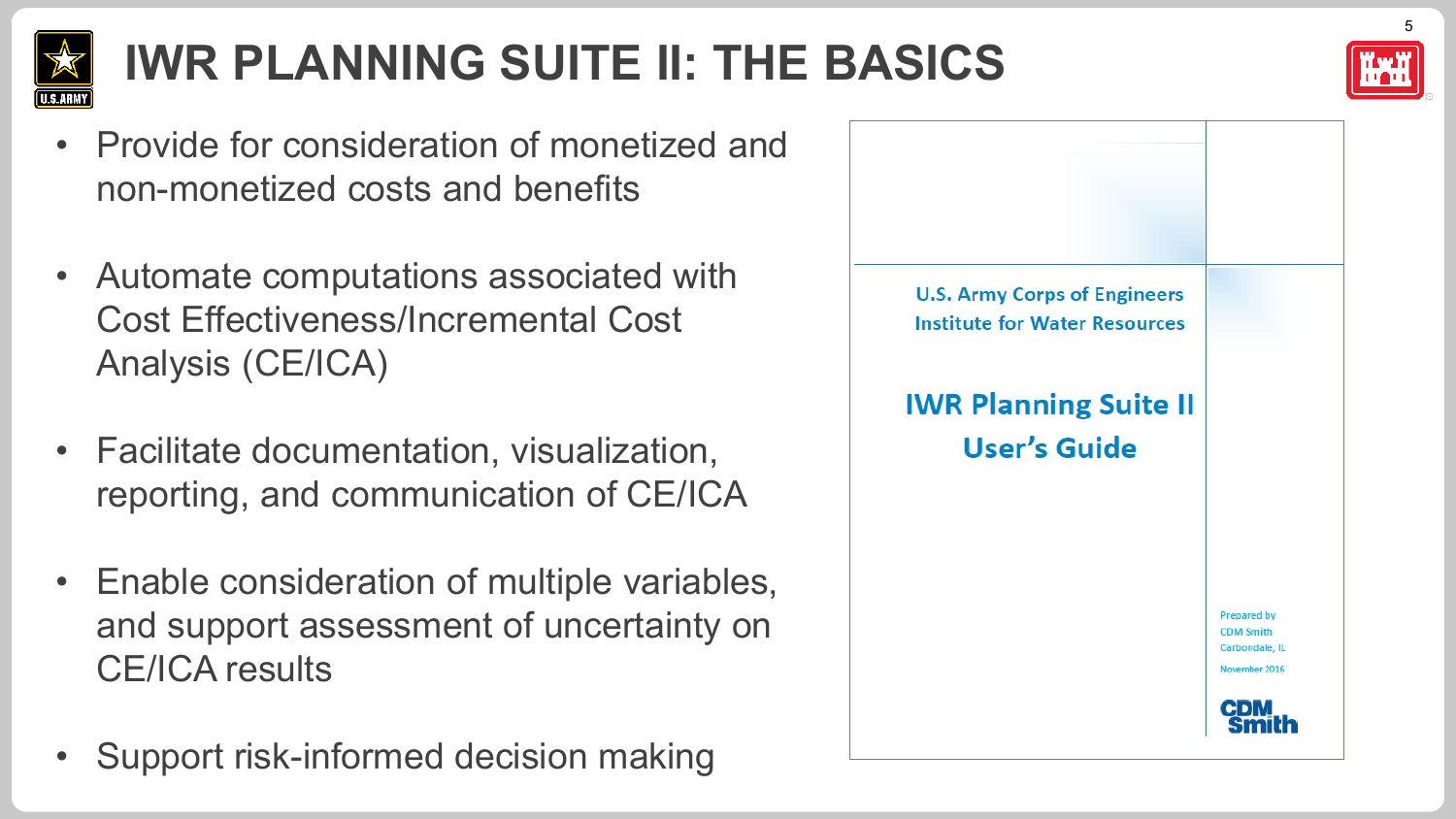

## **IWR PLANNING SUITE II: THE BASICS**

- Provide for consideration of monetized and non-monetized costs and benefits
- Automate computations associated with Cost Effectiveness/Incremental Cost Analysis (CE/ICA)
- Facilitate documentation, visualization, reporting, and communication of CE/ICA
- Enable consideration of multiple variables, and support assessment of uncertainty on CE/ICA results
- Support risk-informed decision making

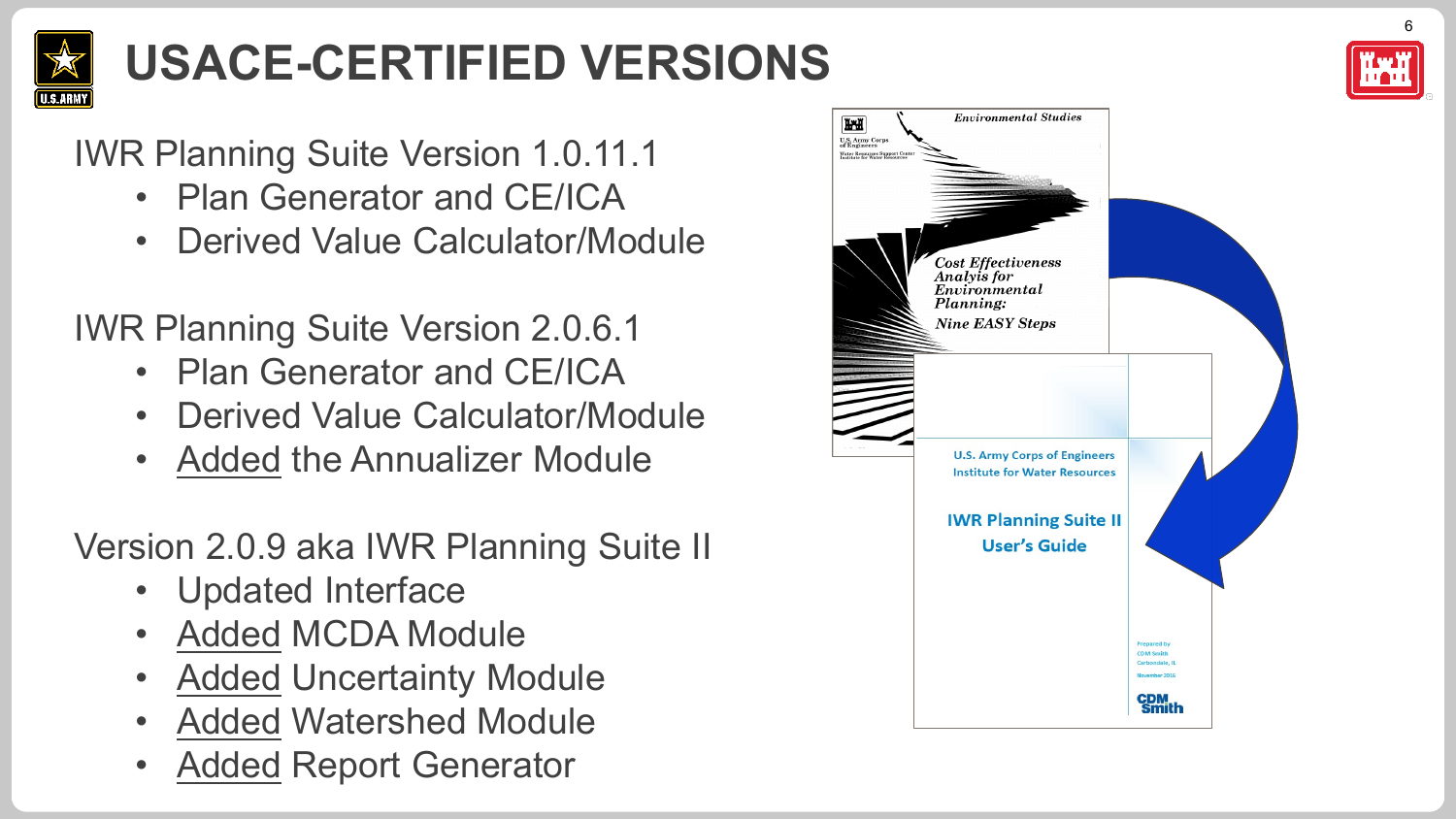

# **USACE-CERTIFIED VERSIONS**



#### IWR Planning Suite Version 1.0.11.1

- Plan Generator and CE/ICA
- Derived Value Calculator/Module

#### IWR Planning Suite Version 2.0.6.1

- Plan Generator and CE/ICA
- Derived Value Calculator/Module
- Added the Annualizer Module

#### Version 2.0.9 aka IWR Planning Suite II

- Updated Interface
- Added MCDA Module
- Added Uncertainty Module
- Added Watershed Module
- Added Report Generator

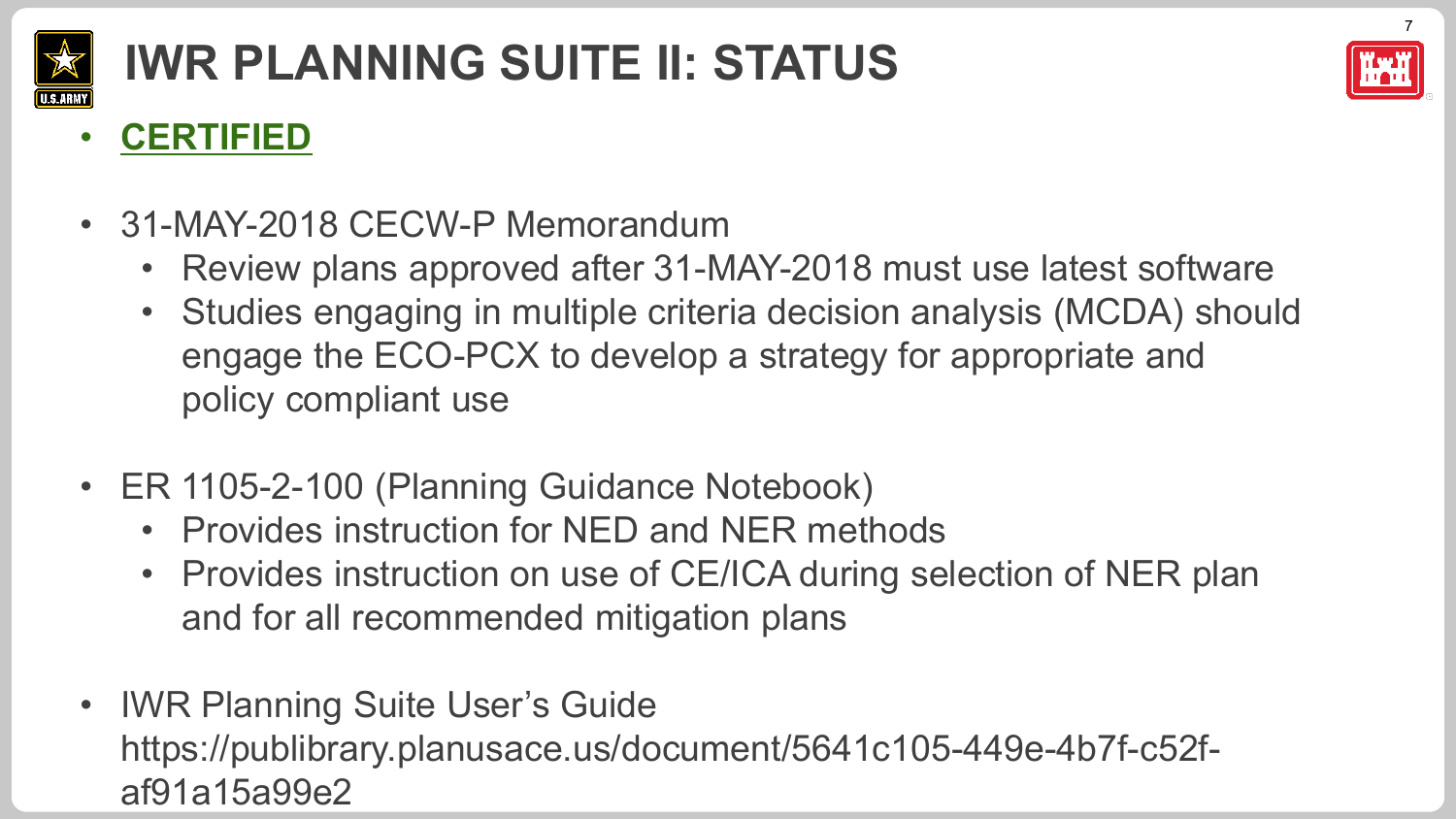

# **IWR PLANNING SUITE II: STATUS**



#### • **CERTIFIED**

- 31-MAY-2018 CECW-P Memorandum
	- Review plans approved after 31-MAY-2018 must use latest software
	- Studies engaging in multiple criteria decision analysis (MCDA) should engage the ECO-PCX to develop a strategy for appropriate and policy compliant use
- ER 1105-2-100 (Planning Guidance Notebook)
	- Provides instruction for NED and NER methods
	- Provides instruction on use of CE/ICA during selection of NER plan and for all recommended mitigation plans
- IWR Planning Suite User's Guide https://publibrary.planusace.us/document/5641c105-449e-4b7f-c52faf91a15a99e2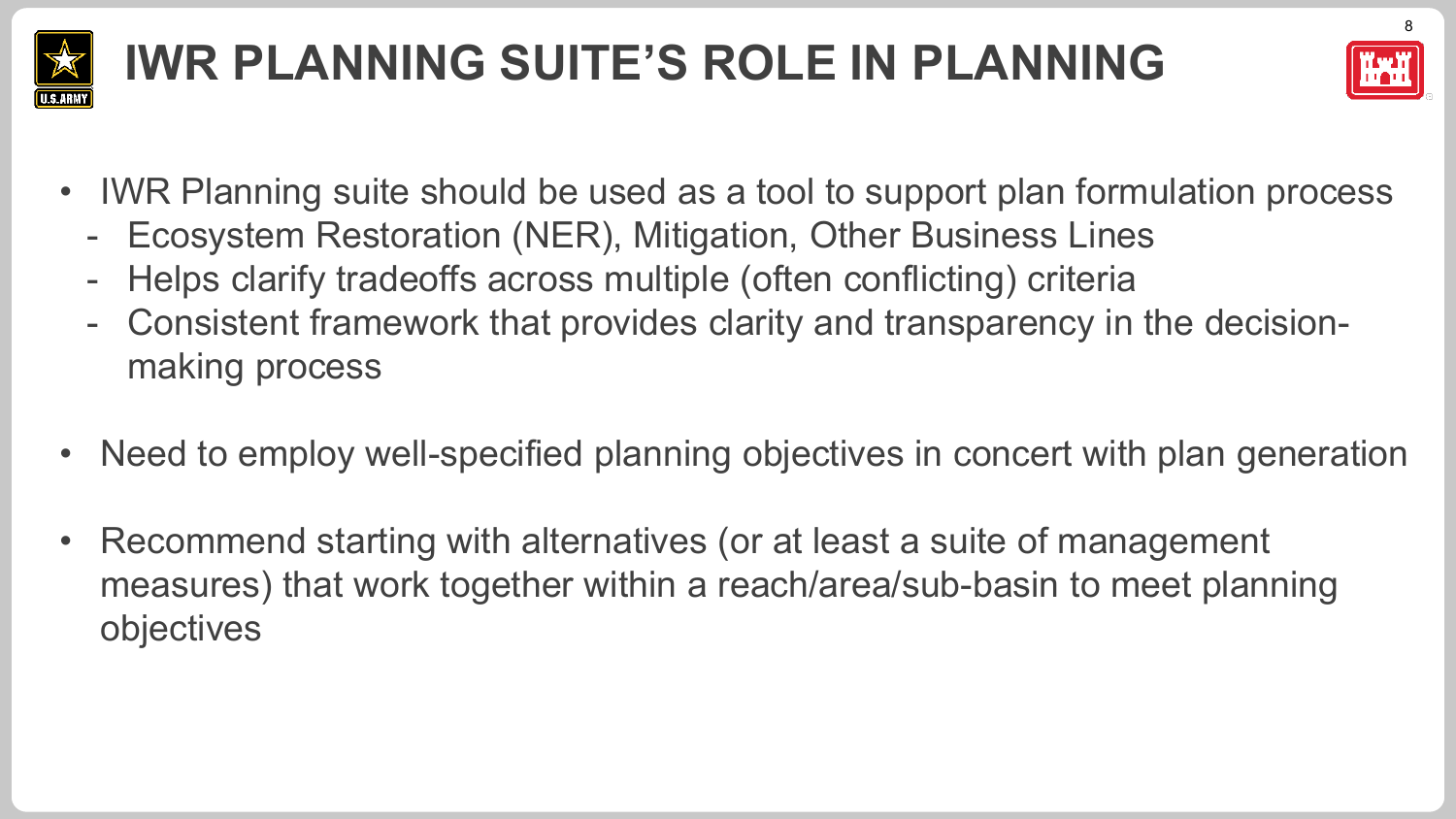

## **IWR PLANNING SUITE'S ROLE IN PLANNING**



- IWR Planning suite should be used as a tool to support plan formulation process
	- Ecosystem Restoration (NER), Mitigation, Other Business Lines
	- Helps clarify tradeoffs across multiple (often conflicting) criteria
	- Consistent framework that provides clarity and transparency in the decisionmaking process
- Need to employ well-specified planning objectives in concert with plan generation
- Recommend starting with alternatives (or at least a suite of management measures) that work together within a reach/area/sub-basin to meet planning objectives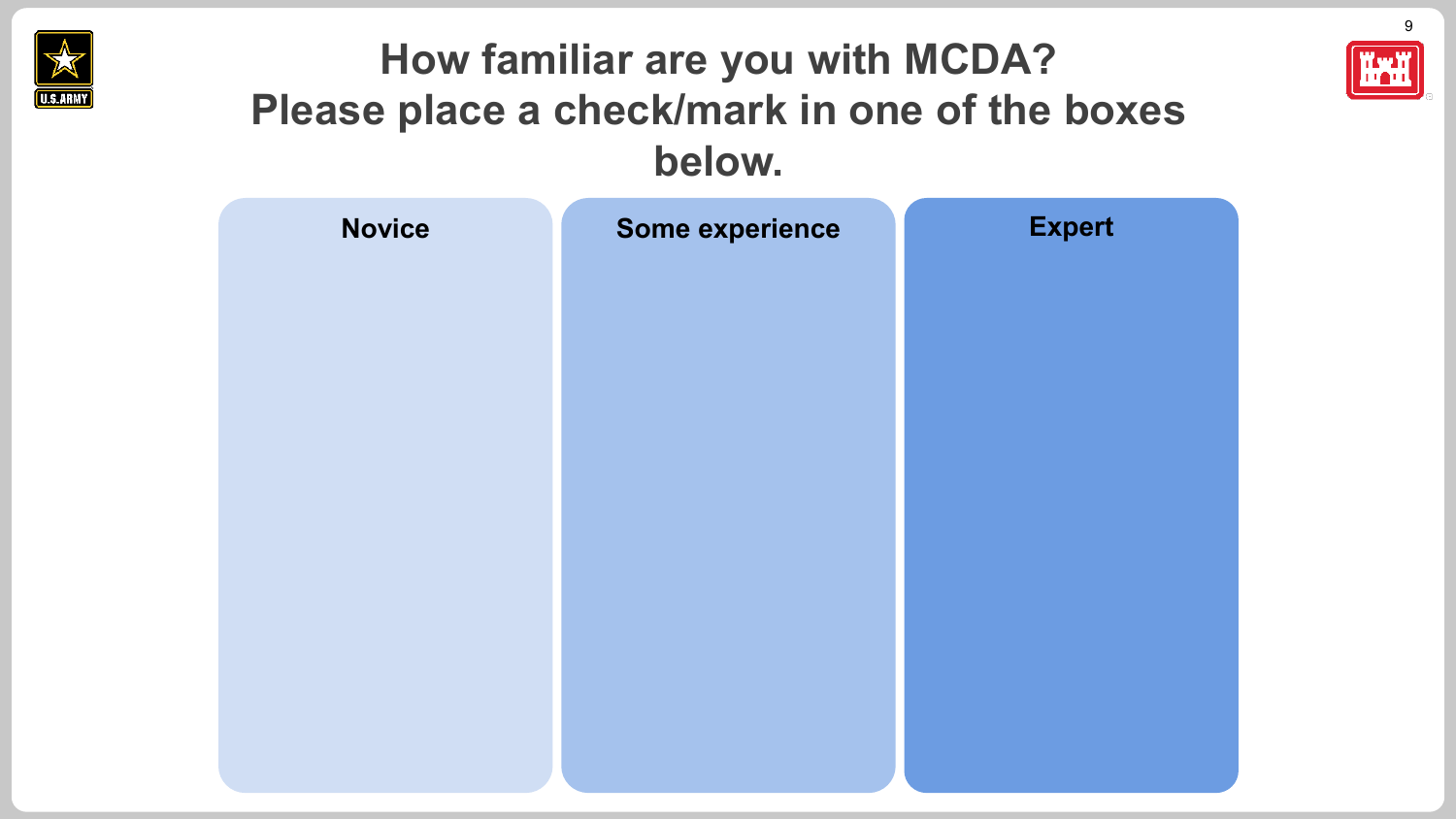



| <b>Novice</b> | Some experience | <b>Expert</b> |
|---------------|-----------------|---------------|
|               |                 |               |
|               |                 |               |
|               |                 |               |
|               |                 |               |
|               |                 |               |
|               |                 |               |
|               |                 |               |
|               |                 |               |
|               |                 |               |
|               |                 |               |

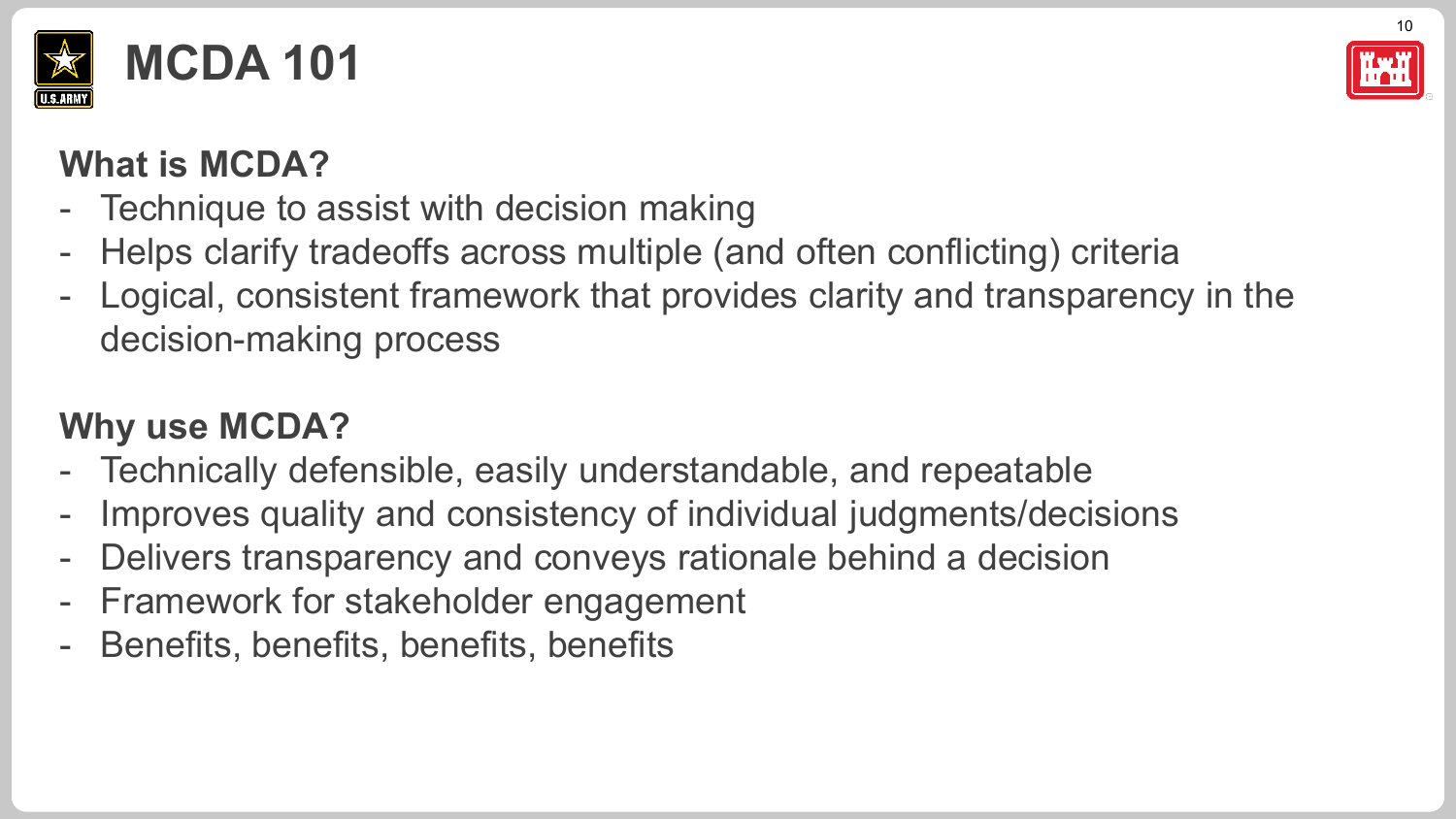



#### **What is MCDA?**

- Technique to assist with decision making
- Helps clarify tradeoffs across multiple (and often conflicting) criteria
- Logical, consistent framework that provides clarity and transparency in the decision-making process

#### **Why use MCDA?**

- Technically defensible, easily understandable, and repeatable
- Improves quality and consistency of individual judgments/decisions
- Delivers transparency and conveys rationale behind a decision
- Framework for stakeholder engagement
- Benefits, benefits, benefits, benefits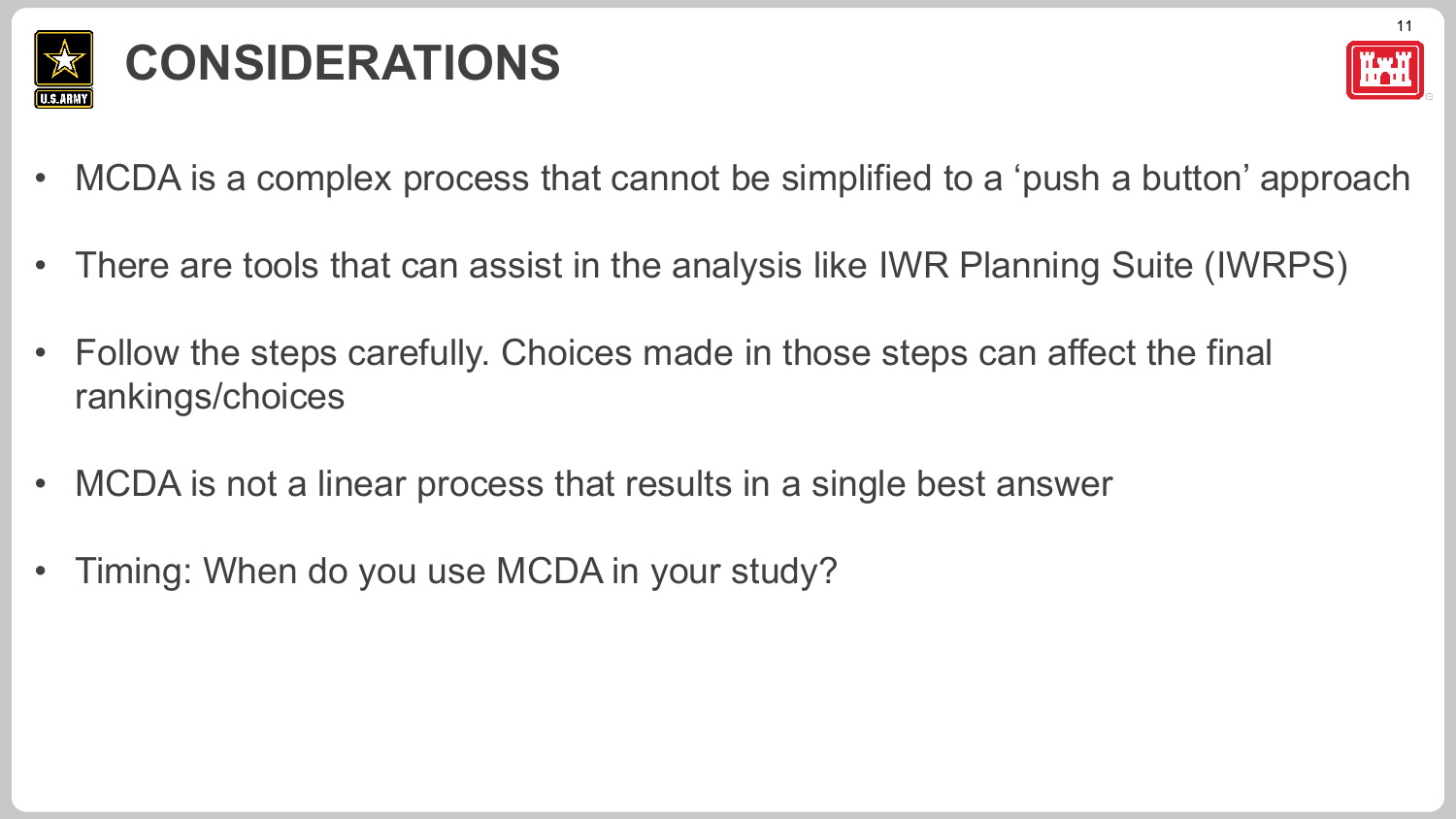

## **CONSIDERATIONS**



- MCDA is a complex process that cannot be simplified to a 'push a button' approach
- There are tools that can assist in the analysis like IWR Planning Suite (IWRPS)
- Follow the steps carefully. Choices made in those steps can affect the final rankings/choices
- MCDA is not a linear process that results in a single best answer
- Timing: When do you use MCDA in your study?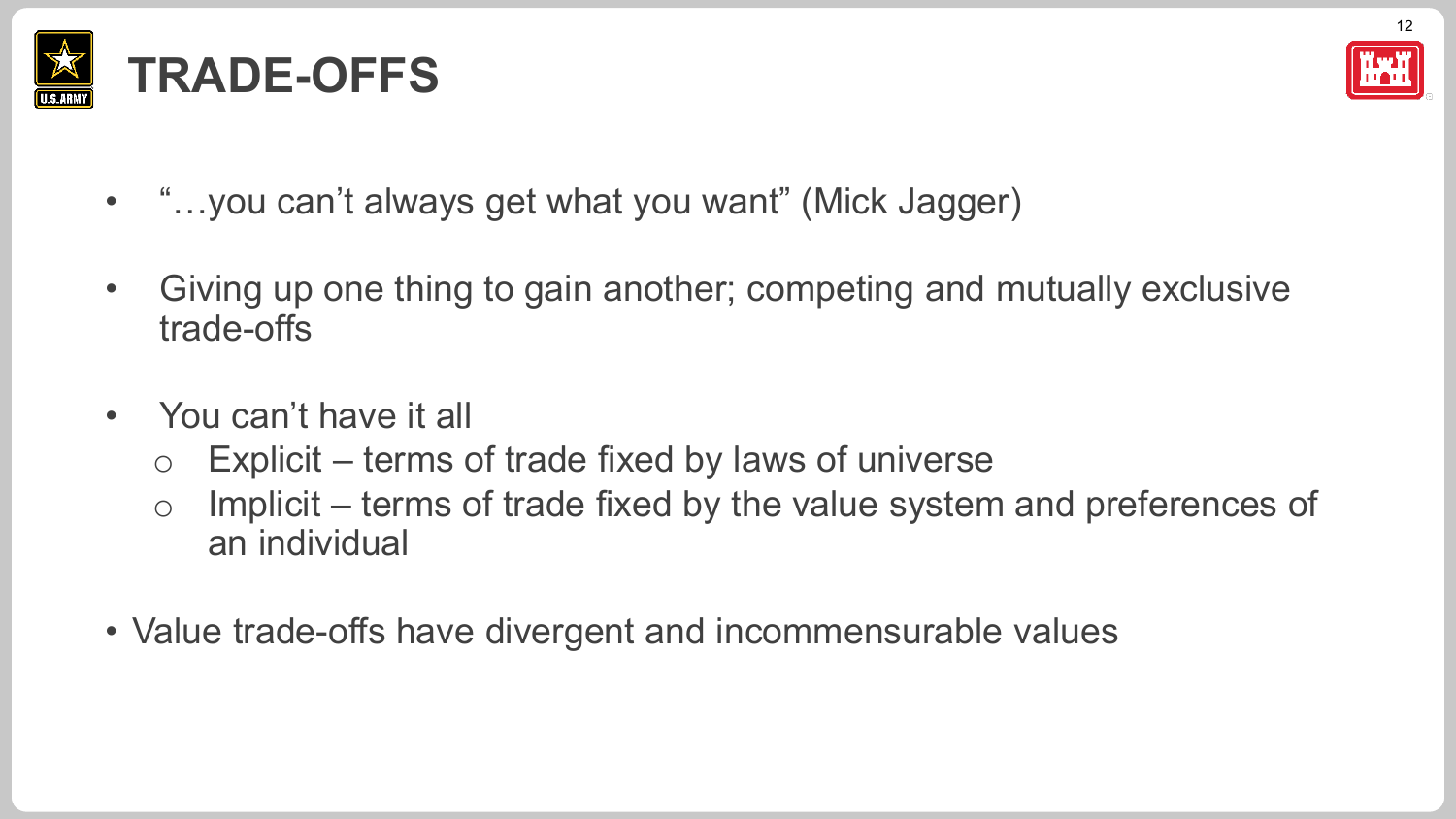



- "...you can't always get what you want" (Mick Jagger)
- Giving up one thing to gain another; competing and mutually exclusive trade-offs
- You can't have it all
	- $\circ$  Explicit terms of trade fixed by laws of universe
	- o Implicit terms of trade fixed by the value system and preferences of an individual
- Value trade-offs have divergent and incommensurable values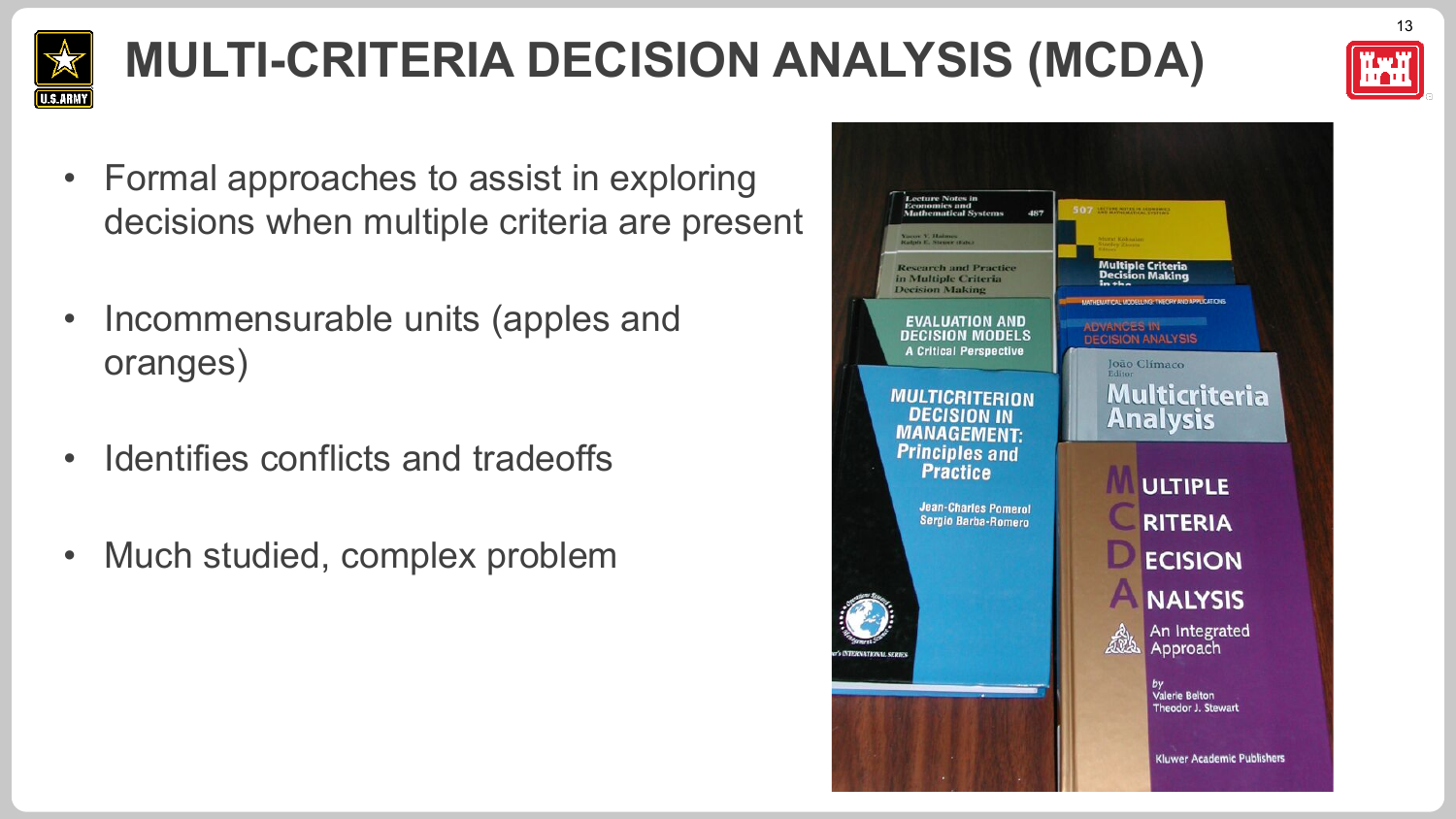

# **MULTI-CRITERIA DECISION ANALYSIS (MCDA)**



- Formal approaches to assist in exploring decisions when multiple criteria are present
- Incommensurable units (apples and oranges)
- Identifies conflicts and tradeoffs
- Much studied, complex problem

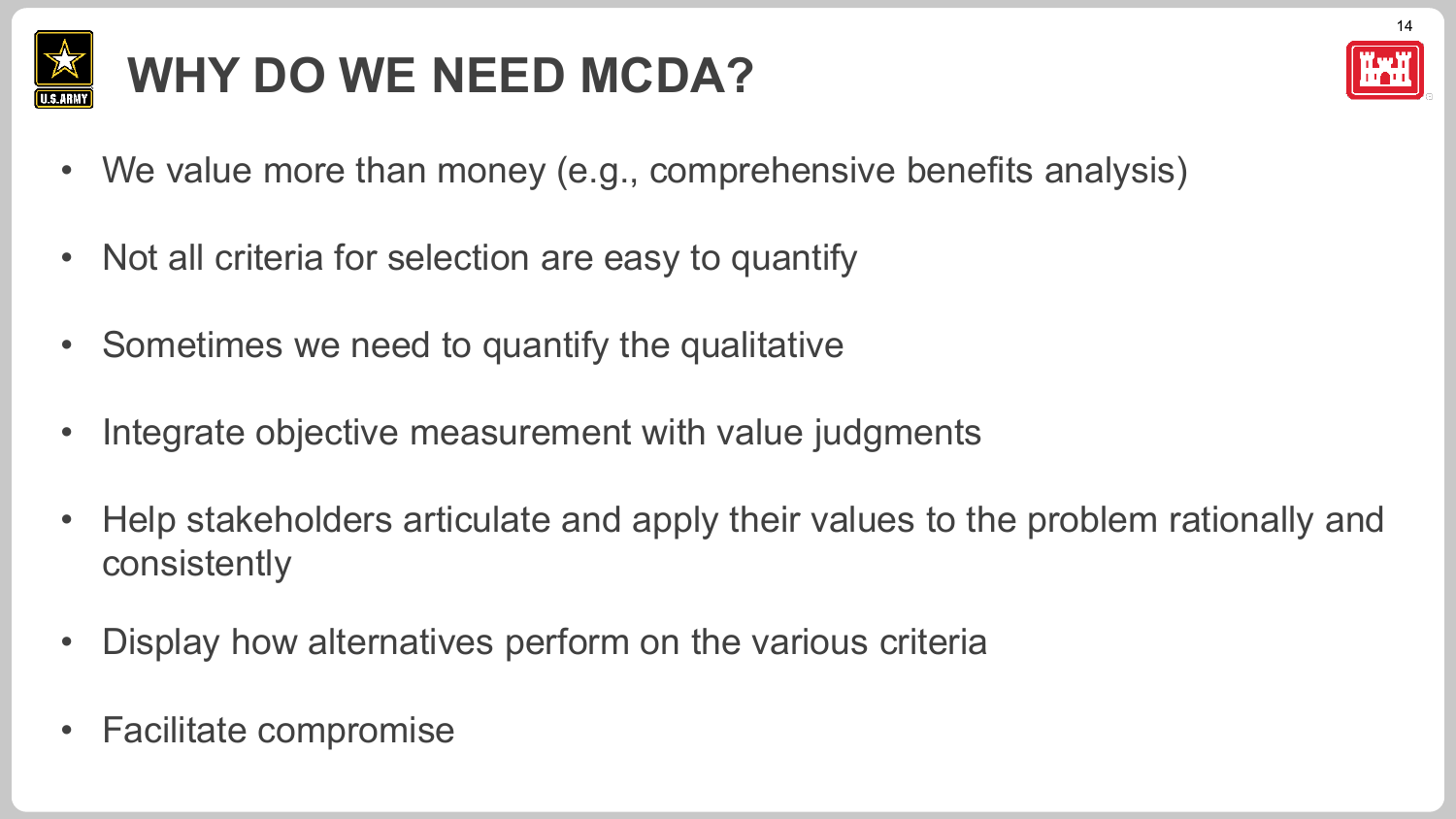

## **WHY DO WE NEED MCDA?**



- We value more than money (e.g., comprehensive benefits analysis)
- Not all criteria for selection are easy to quantify
- Sometimes we need to quantify the qualitative
- Integrate objective measurement with value judgments
- Help stakeholders articulate and apply their values to the problem rationally and consistently
- Display how alternatives perform on the various criteria
- Facilitate compromise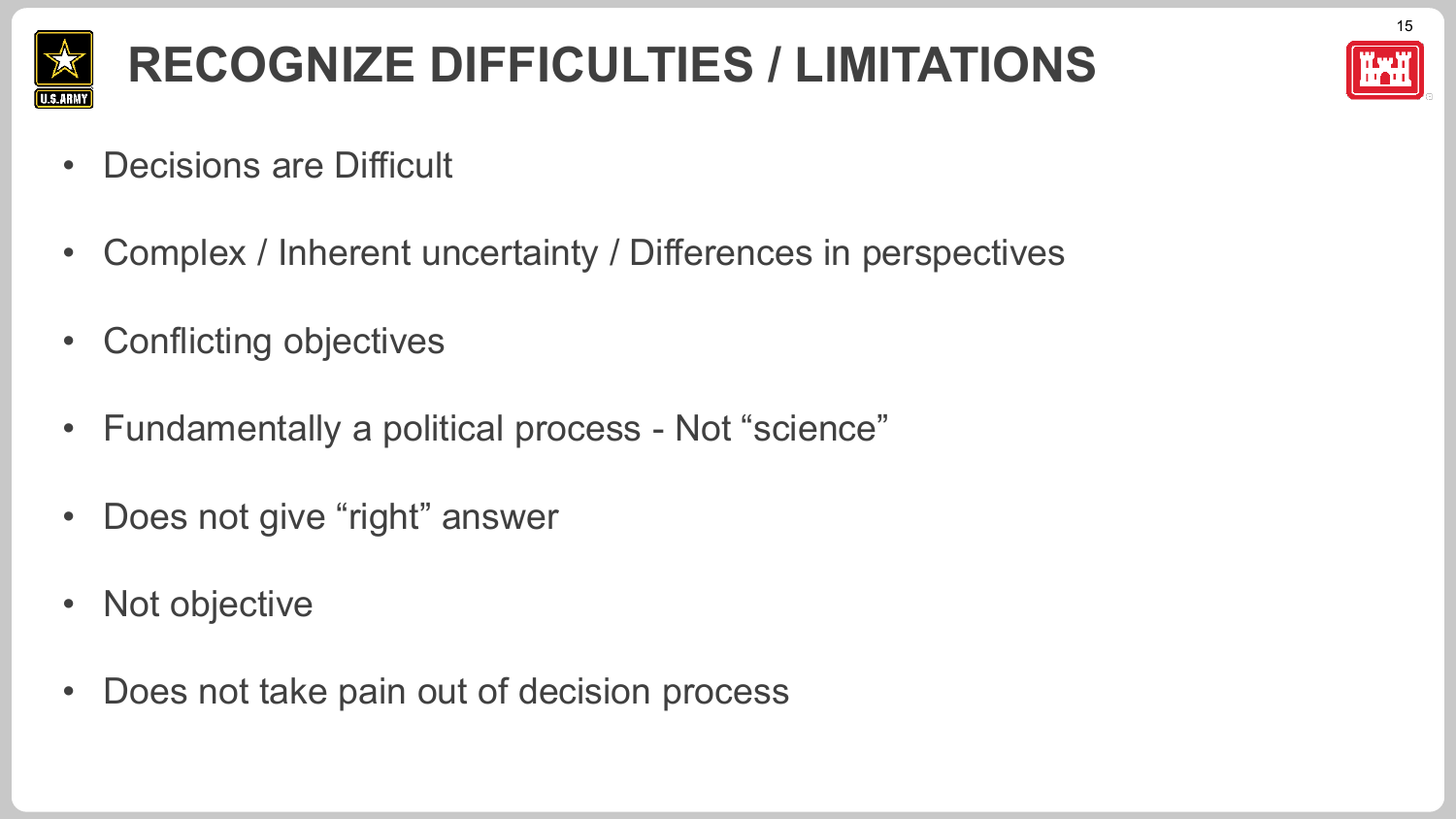

### **RECOGNIZE DIFFICULTIES / LIMITATIONS**

15

- Decisions are Difficult
- Complex / Inherent uncertainty / Differences in perspectives
- Conflicting objectives
- Fundamentally a political process Not "science"
- Does not give "right" answer
- Not objective
- Does not take pain out of decision process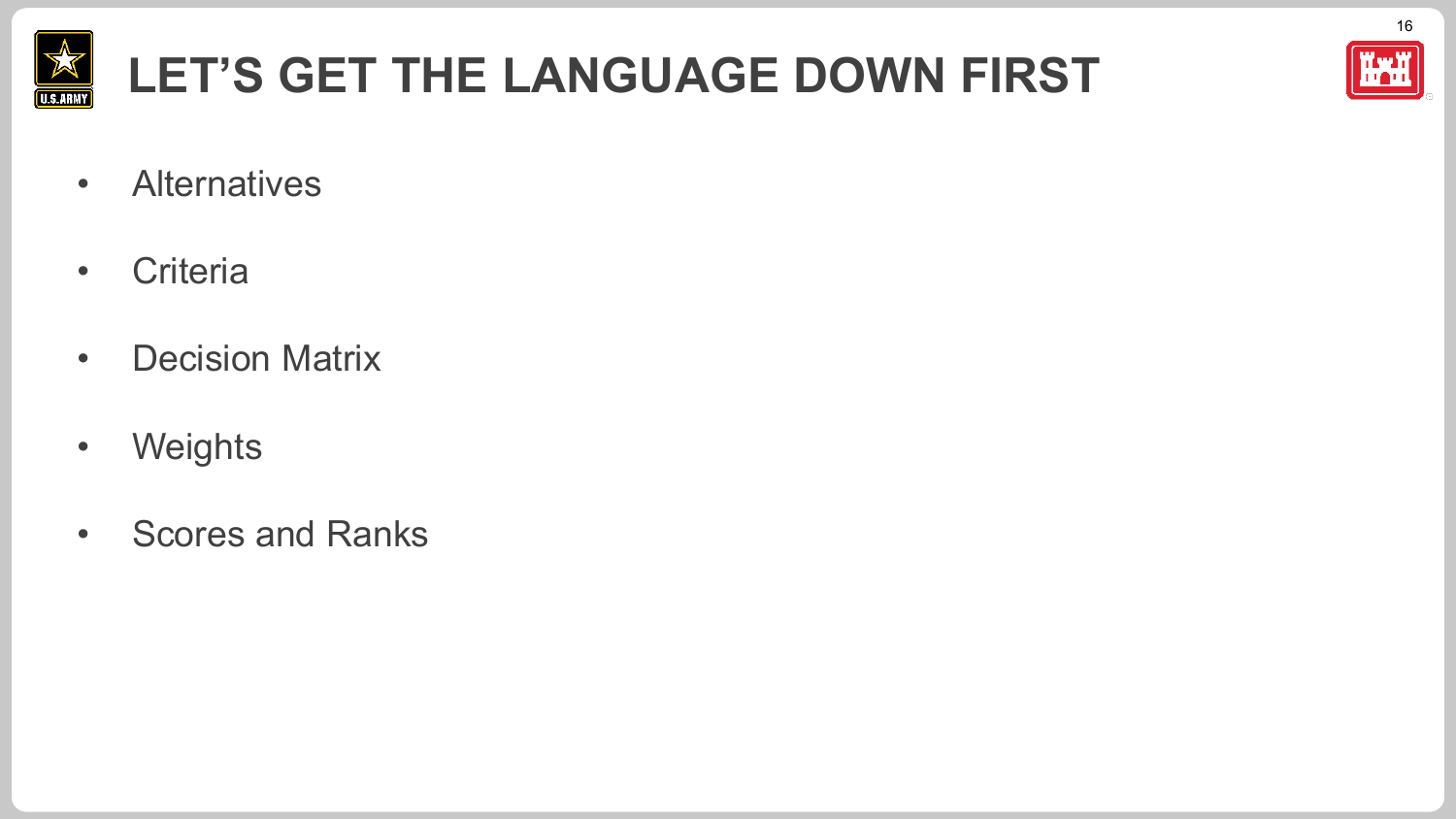

## **LET'S GET THE LANGUAGE DOWN FIRST**



16

- Alternatives
- Criteria
- Decision Matrix
- Weights
- Scores and Ranks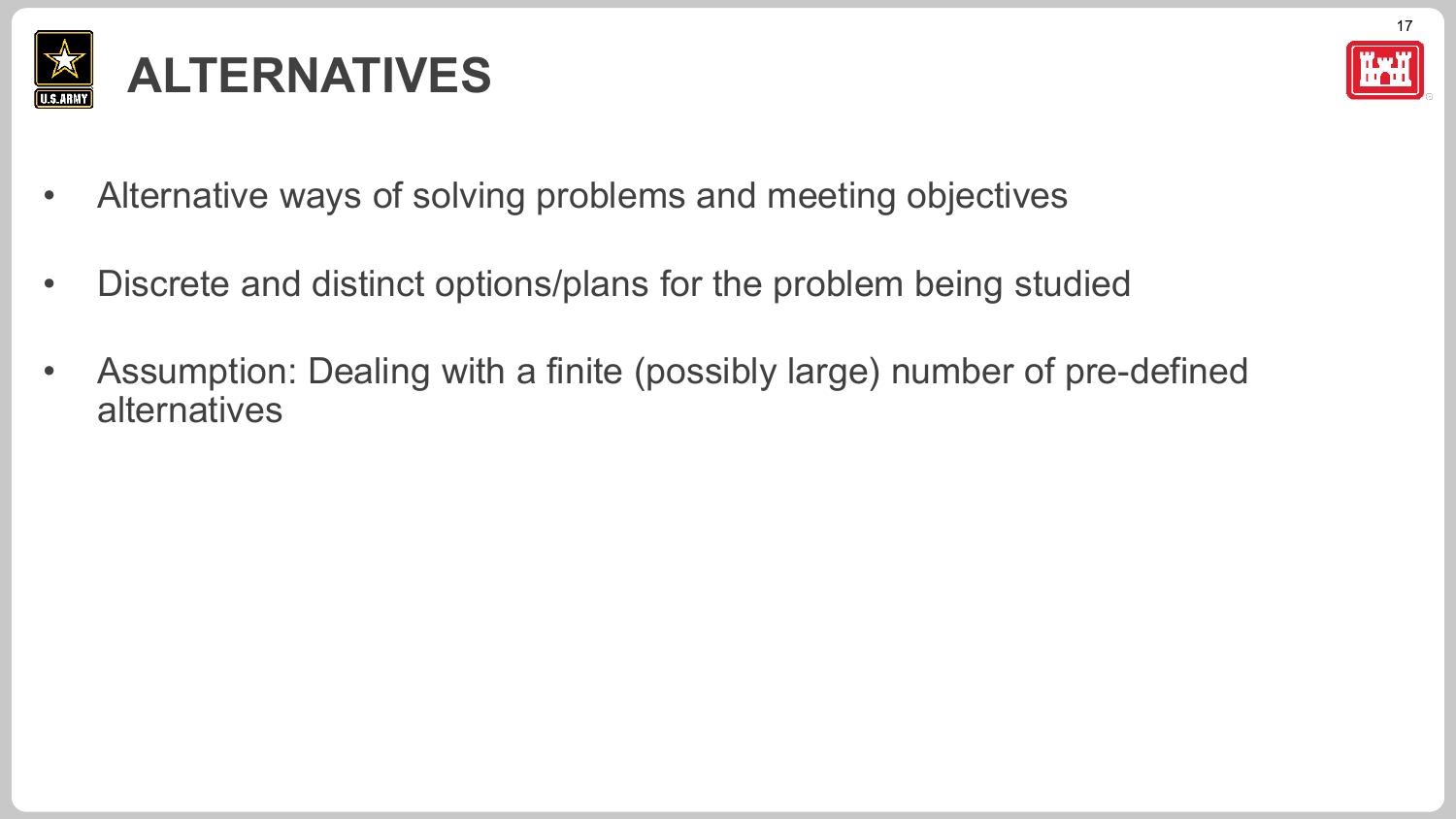



- Alternative ways of solving problems and meeting objectives
- Discrete and distinct options/plans for the problem being studied
- Assumption: Dealing with a finite (possibly large) number of pre-defined alternatives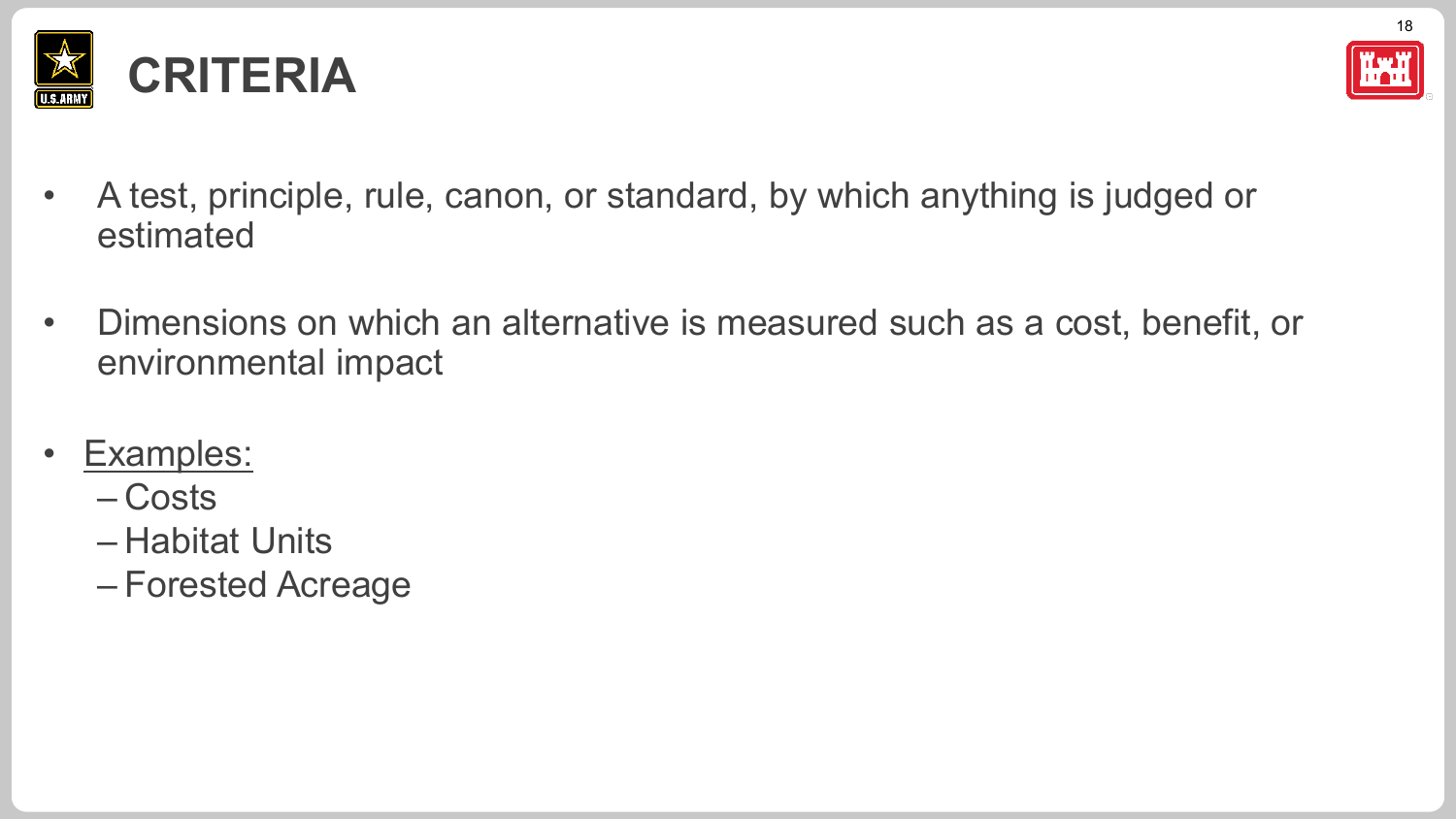



- A test, principle, rule, canon, or standard, by which anything is judged or estimated
- Dimensions on which an alternative is measured such as a cost, benefit, or environmental impact
- Examples:
	- Costs
	- Habitat Units
	- Forested Acreage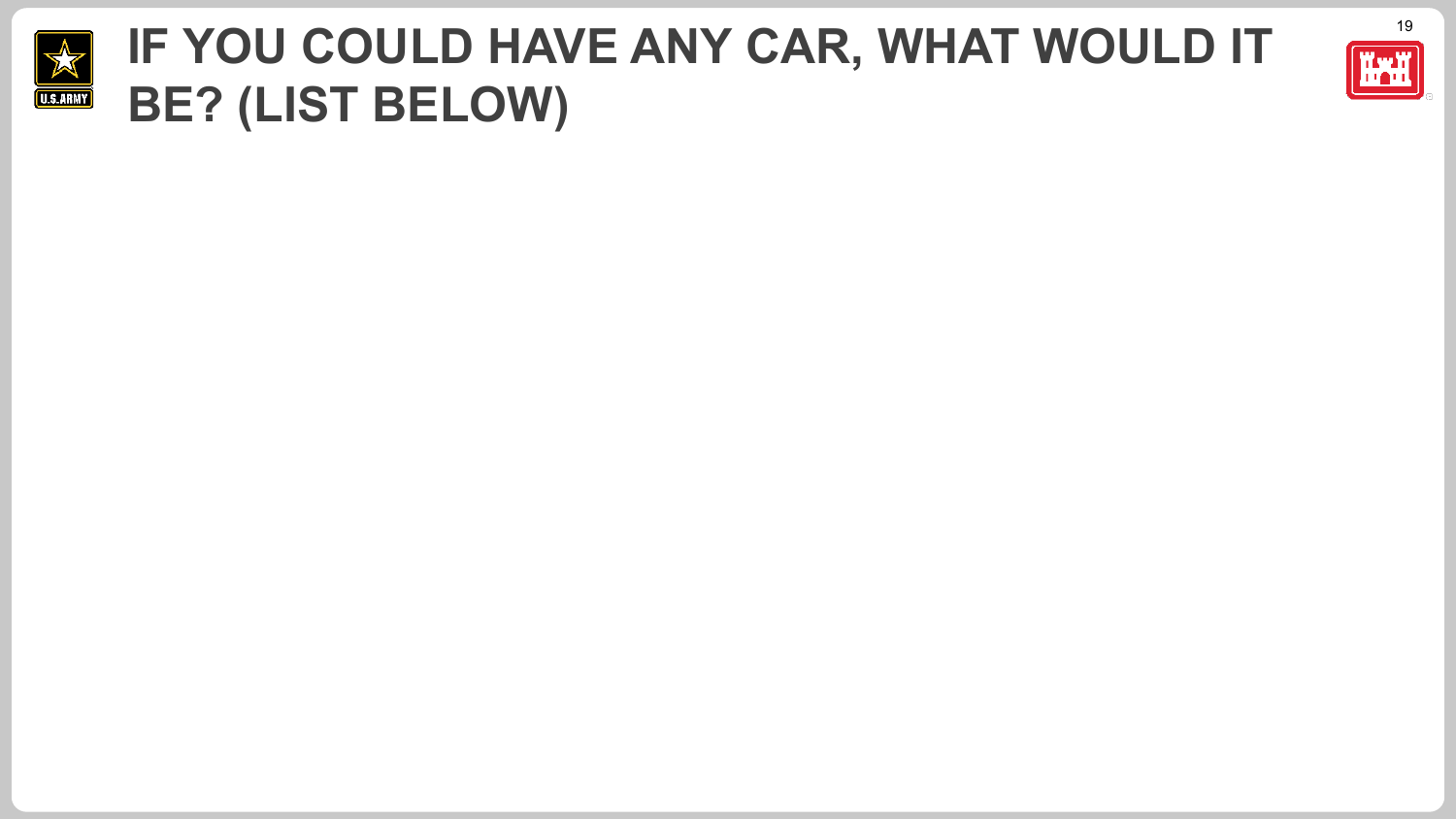

#### **IF YOU COULD HAVE ANY CAR, WHAT WOULD IT FIGHT BE? (LIST BELOW)**

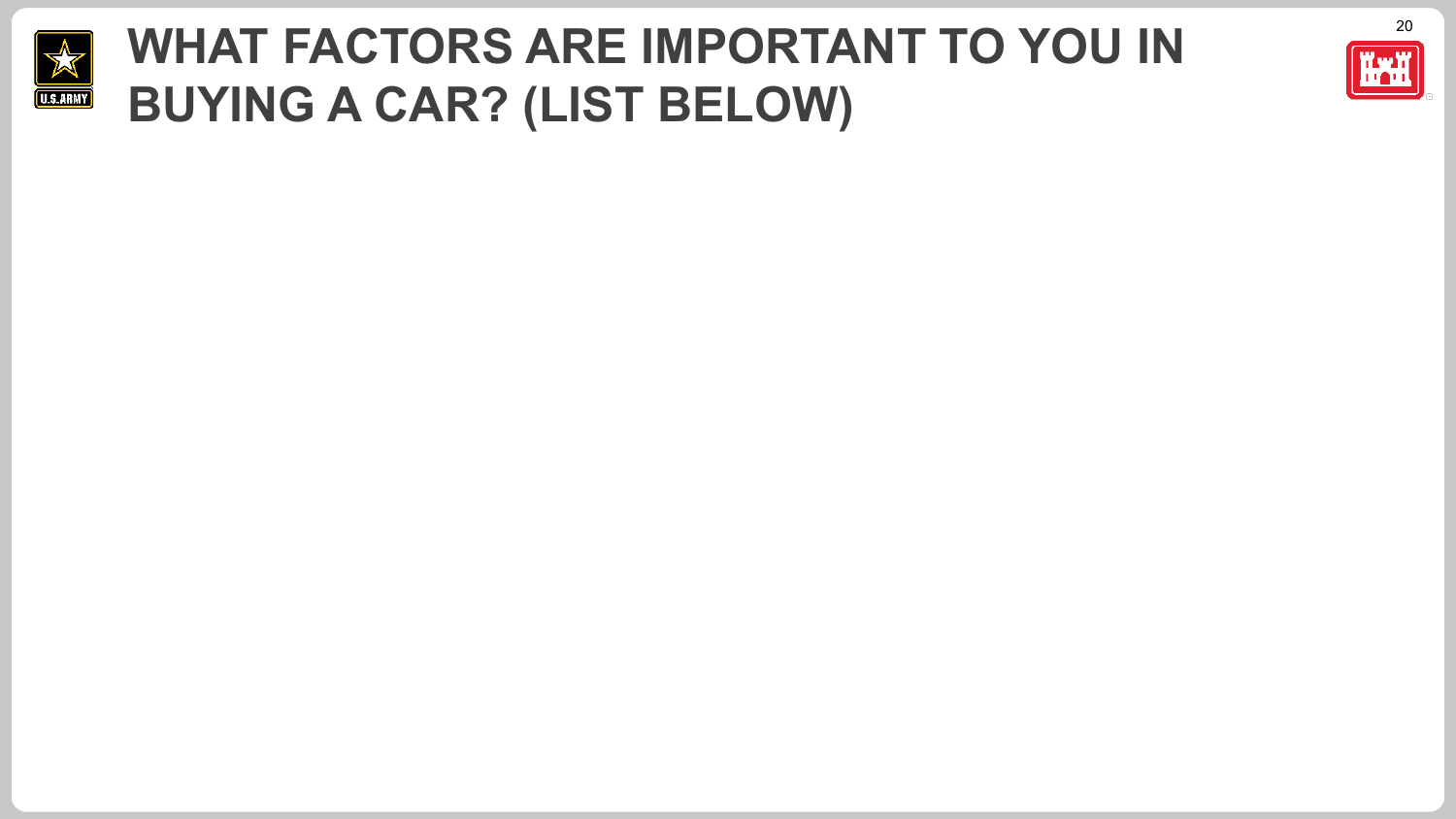

#### **WHAT FACTORS ARE IMPORTANT TO YOU IN THE REPT OF SUBJECT OF A REPT OF THE SUBJECT OF A REPT OF A REPT OF A REPT OF A REPT OF A REPT OF A REPT OF A REPT OF A REPT OF A REPT OF A REPT OF A REPT OF A REPT OF A REPT OF A REPT BUYING A CAR? (LIST BELOW)**

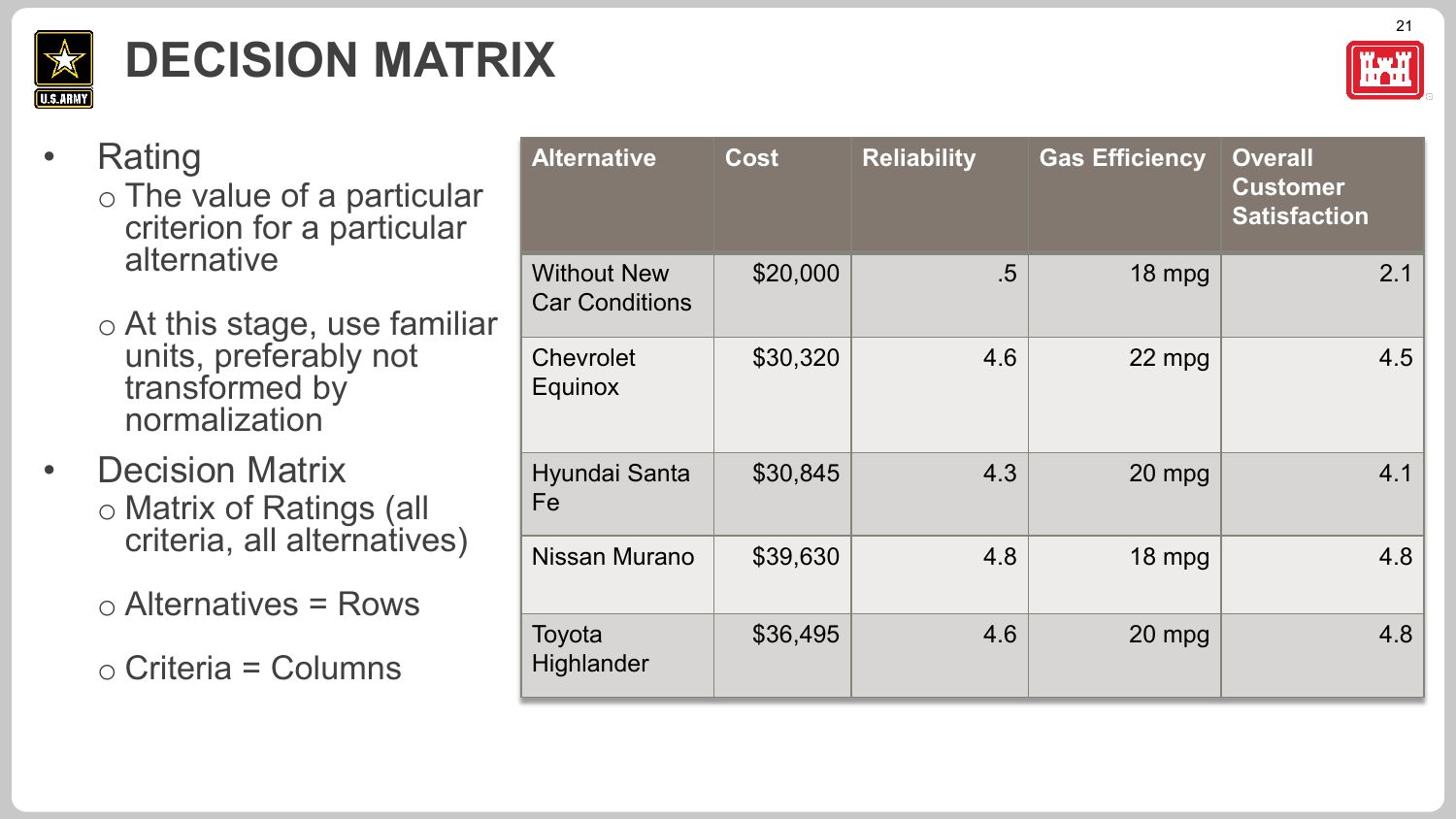

# **DECISION MATRIX**



#### • Rating

- o The value of a particular criterion for a particular alternative
- o At this stage, use familiar units, preferably not transformed by normalization
- **Decision Matrix** o Matrix of Ratings (all criteria, all alternatives)

 $\circ$  Alternatives = Rows

o Criteria = Columns

| <b>Alternative</b>                          | <b>Cost</b> | <b>Reliability</b> | <b>Gas Efficiency</b> | <b>Overall</b><br><b>Customer</b><br><b>Satisfaction</b> |
|---------------------------------------------|-------------|--------------------|-----------------------|----------------------------------------------------------|
| <b>Without New</b><br><b>Car Conditions</b> | \$20,000    | $.5\,$             | 18 mpg                | 2.1                                                      |
| Chevrolet<br><b>Equinox</b>                 | \$30,320    | 4.6                | 22 mpg                | 4.5                                                      |
| Hyundai Santa<br>Fe                         | \$30,845    | 4.3                | 20 mpg                | 4.1                                                      |
| Nissan Murano                               | \$39,630    | 4.8                | 18 mpg                | 4.8                                                      |
| Toyota<br>Highlander                        | \$36,495    | 4.6                | 20 mpg                | 4.8                                                      |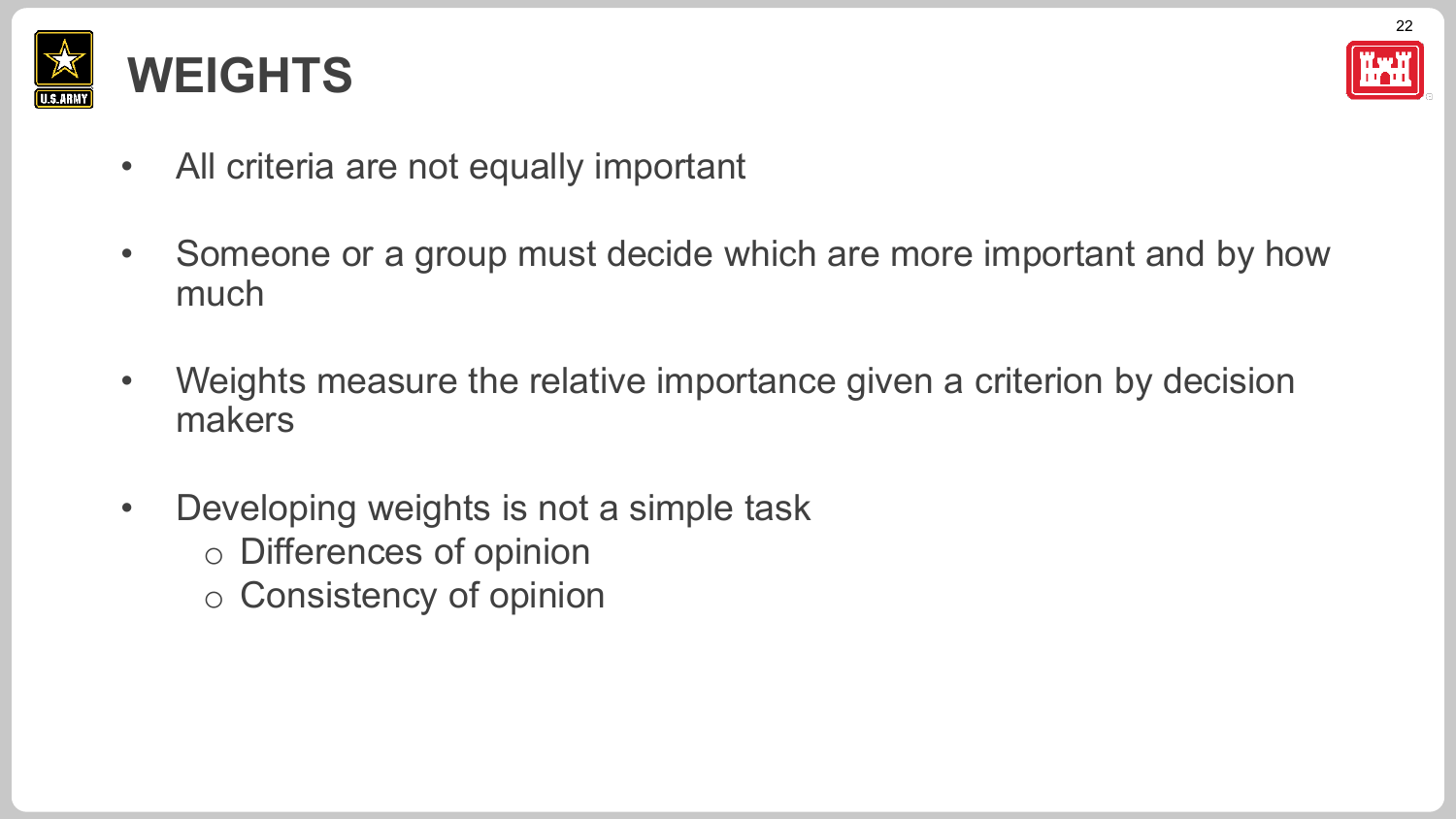



- All criteria are not equally important
- Someone or a group must decide which are more important and by how much
- Weights measure the relative importance given a criterion by decision makers
- Developing weights is not a simple task o Differences of opinion
	- o Consistency of opinion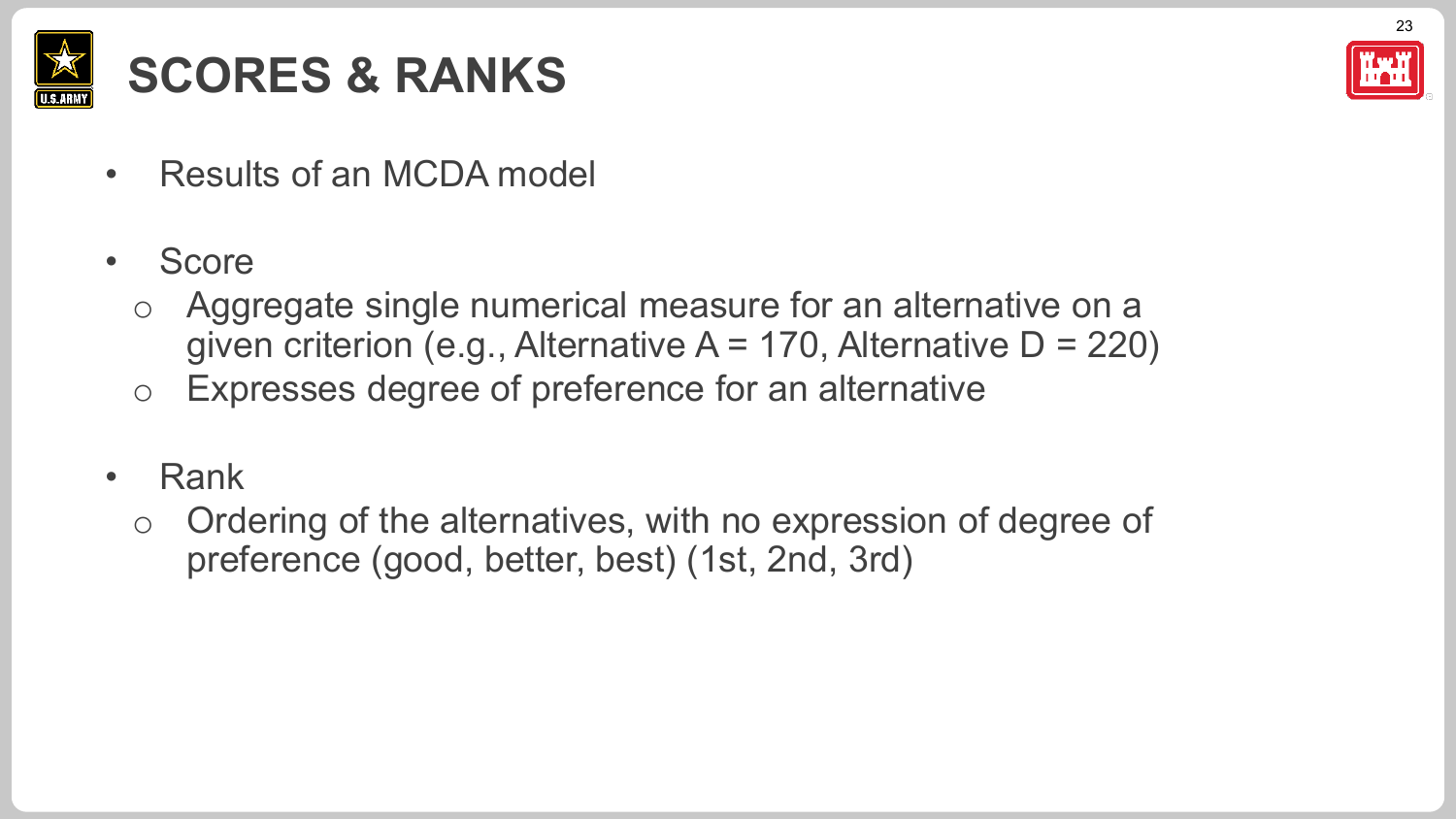

## **SCORES & RANKS**

- Results of an MCDA model
- Score
	- Aggregate single numerical measure for an alternative on a given criterion (e.g., Alternative  $A = 170$ , Alternative  $D = 220$ )
	- o Expresses degree of preference for an alternative
- Rank
	- o Ordering of the alternatives, with no expression of degree of preference (good, better, best) (1st, 2nd, 3rd)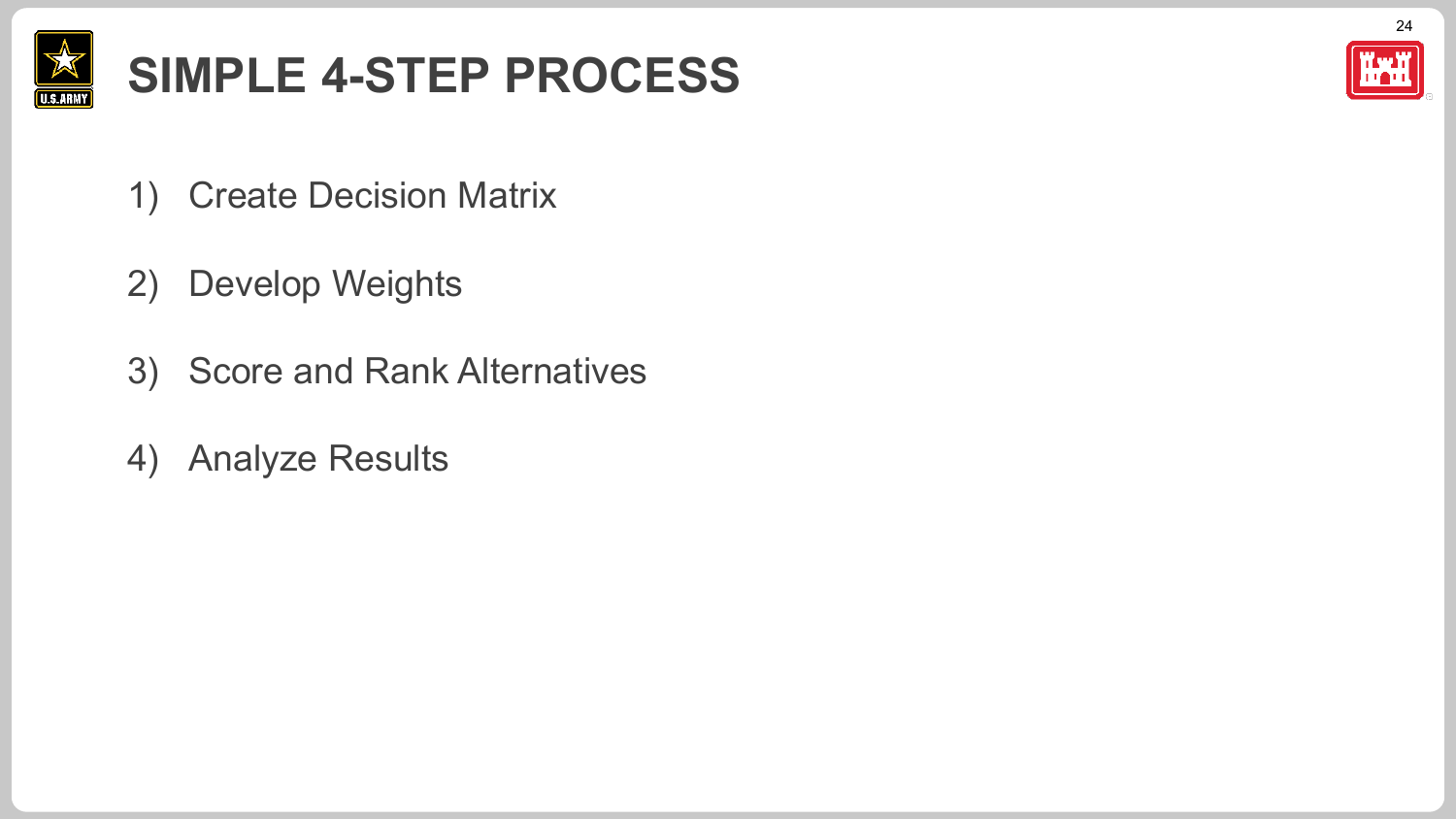

## **SIMPLE 4-STEP PROCESS**



- 1) Create Decision Matrix
- 2) Develop Weights
- 3) Score and Rank Alternatives
- 4) Analyze Results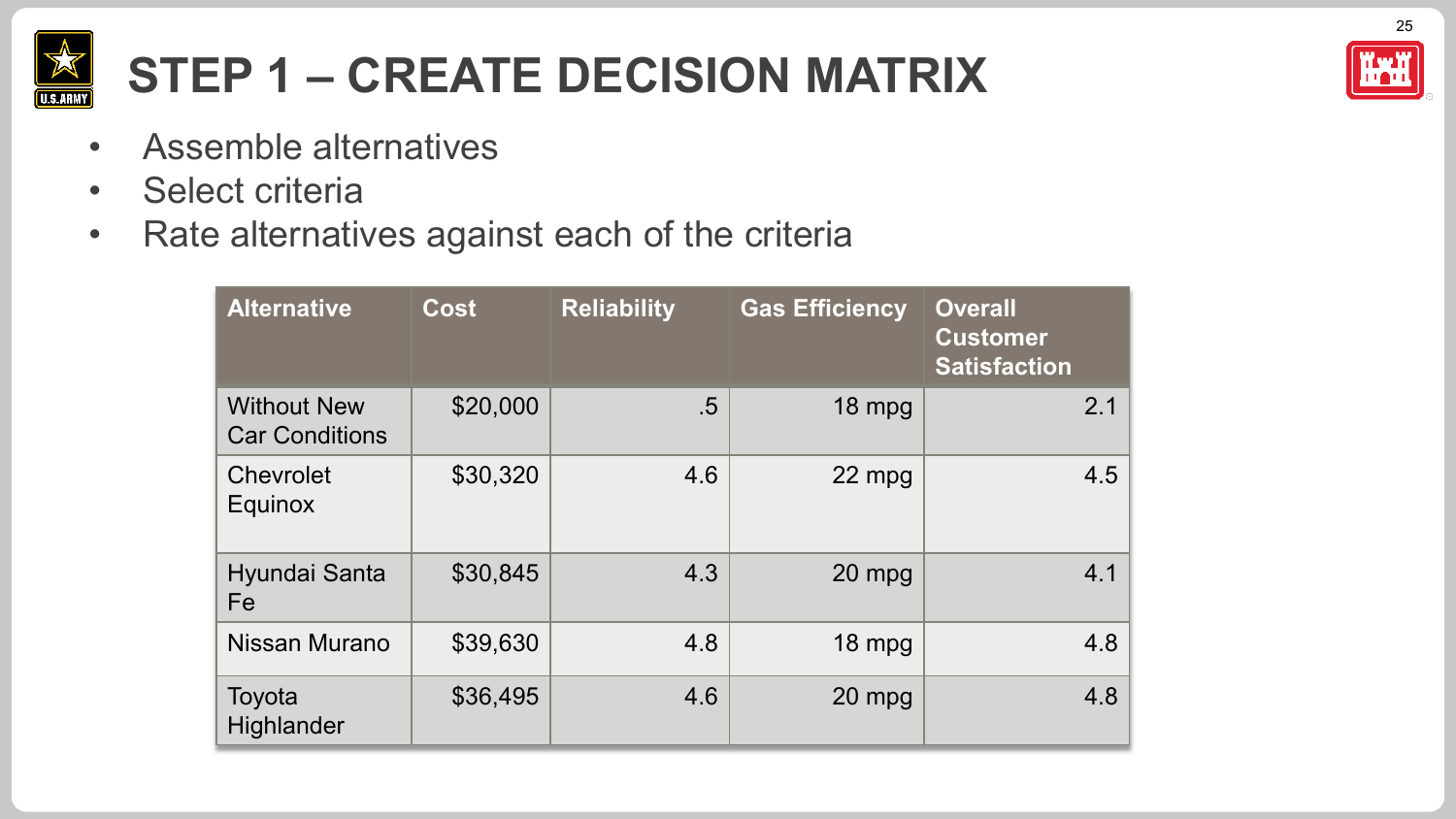

## **STEP 1 – CREATE DECISION MATRIX**

- Assemble alternatives
- Select criteria
- Rate alternatives against each of the criteria

| <b>Alternative</b>                          | <b>Cost</b> | <b>Reliability</b> | <b>Gas Efficiency</b> | <b>Overall</b><br><b>Customer</b><br><b>Satisfaction</b> |
|---------------------------------------------|-------------|--------------------|-----------------------|----------------------------------------------------------|
| <b>Without New</b><br><b>Car Conditions</b> | \$20,000    | $.5\,$             | 18 mpg                | 2.1                                                      |
| Chevrolet<br>Equinox                        | \$30,320    | 4.6                | 22 mpg                | 4.5                                                      |
| Hyundai Santa<br>Fe                         | \$30,845    | 4.3                | 20 mpg                | 4.1                                                      |
| Nissan Murano                               | \$39,630    | 4.8                | 18 mpg                | 4.8                                                      |
| Toyota<br>Highlander                        | \$36,495    | 4.6                | 20 mpg                | 4.8                                                      |



25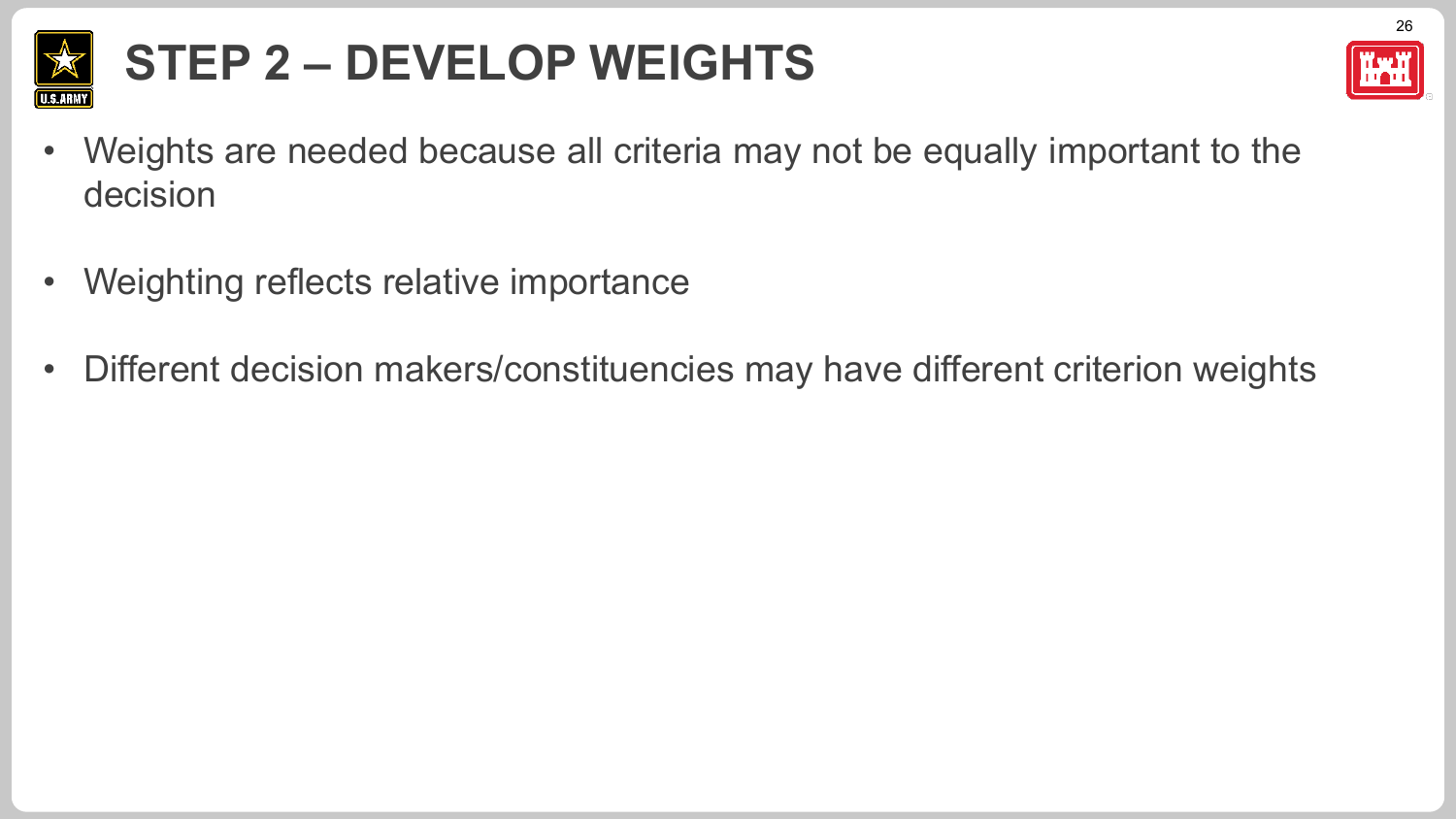

# **STEP 2 – DEVELOP WEIGHTS**



- Weights are needed because all criteria may not be equally important to the decision
- Weighting reflects relative importance
- Different decision makers/constituencies may have different criterion weights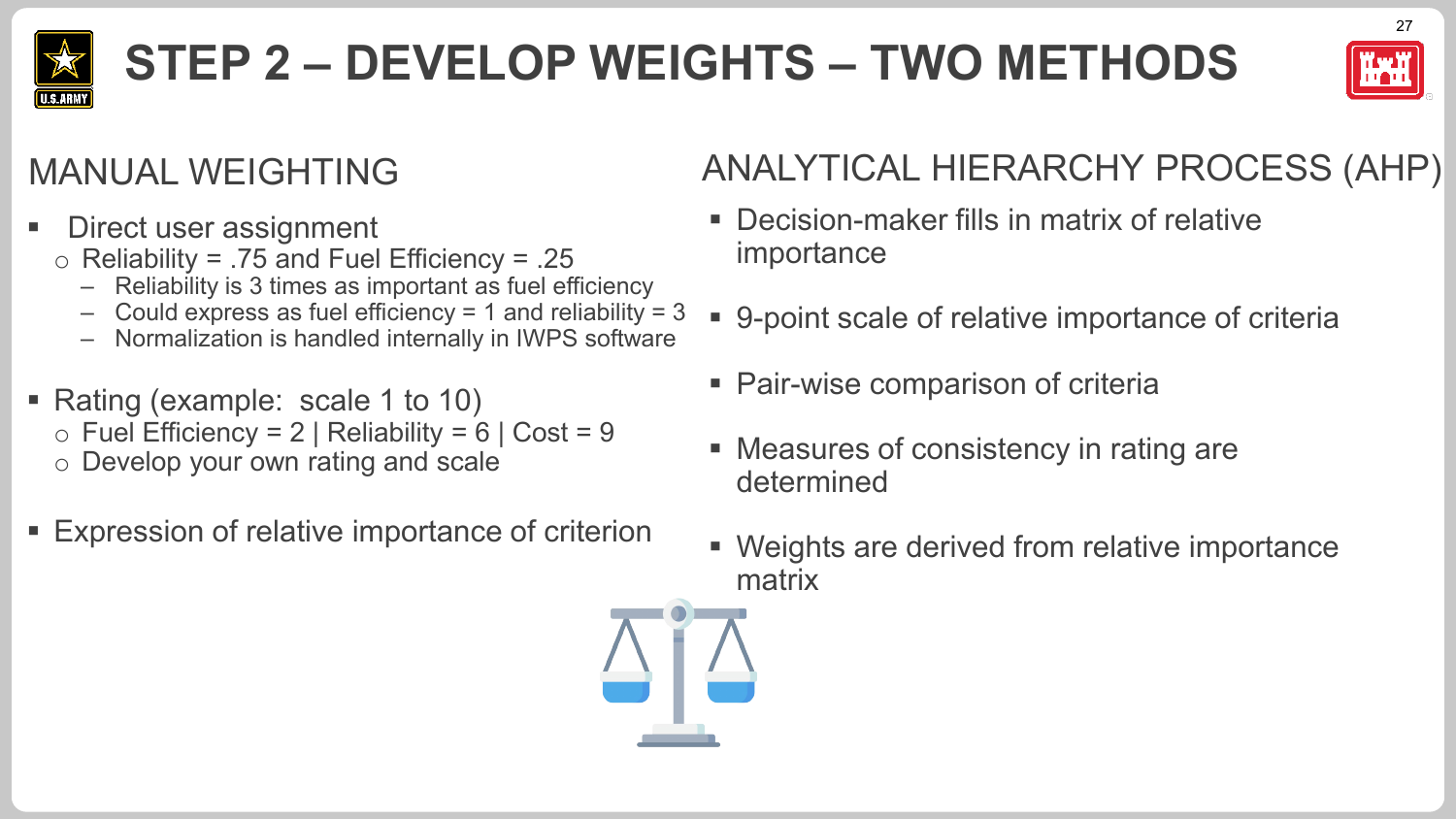

# **STEP 2 – DEVELOP WEIGHTS – TWO METHODS**



#### MANUAL WEIGHTING

- Direct user assignment
	- $\circ$  Reliability = .75 and Fuel Efficiency = .25
		- Reliability is 3 times as important as fuel efficiency
		- Could express as fuel efficiency = 1 and reliability =  $3$
		- Normalization is handled internally in IWPS software
- Rating (example: scale 1 to 10)
	- $\circ$  Fuel Efficiency = 2 | Reliability = 6 | Cost = 9
	- o Develop your own rating and scale
- Expression of relative importance of criterion

#### ANALYTICAL HIERARCHY PROCESS (AHP)

- Decision-maker fills in matrix of relative importance
- 9-point scale of relative importance of criteria
- Pair-wise comparison of criteria
- Measures of consistency in rating are determined
- Weights are derived from relative importance matrix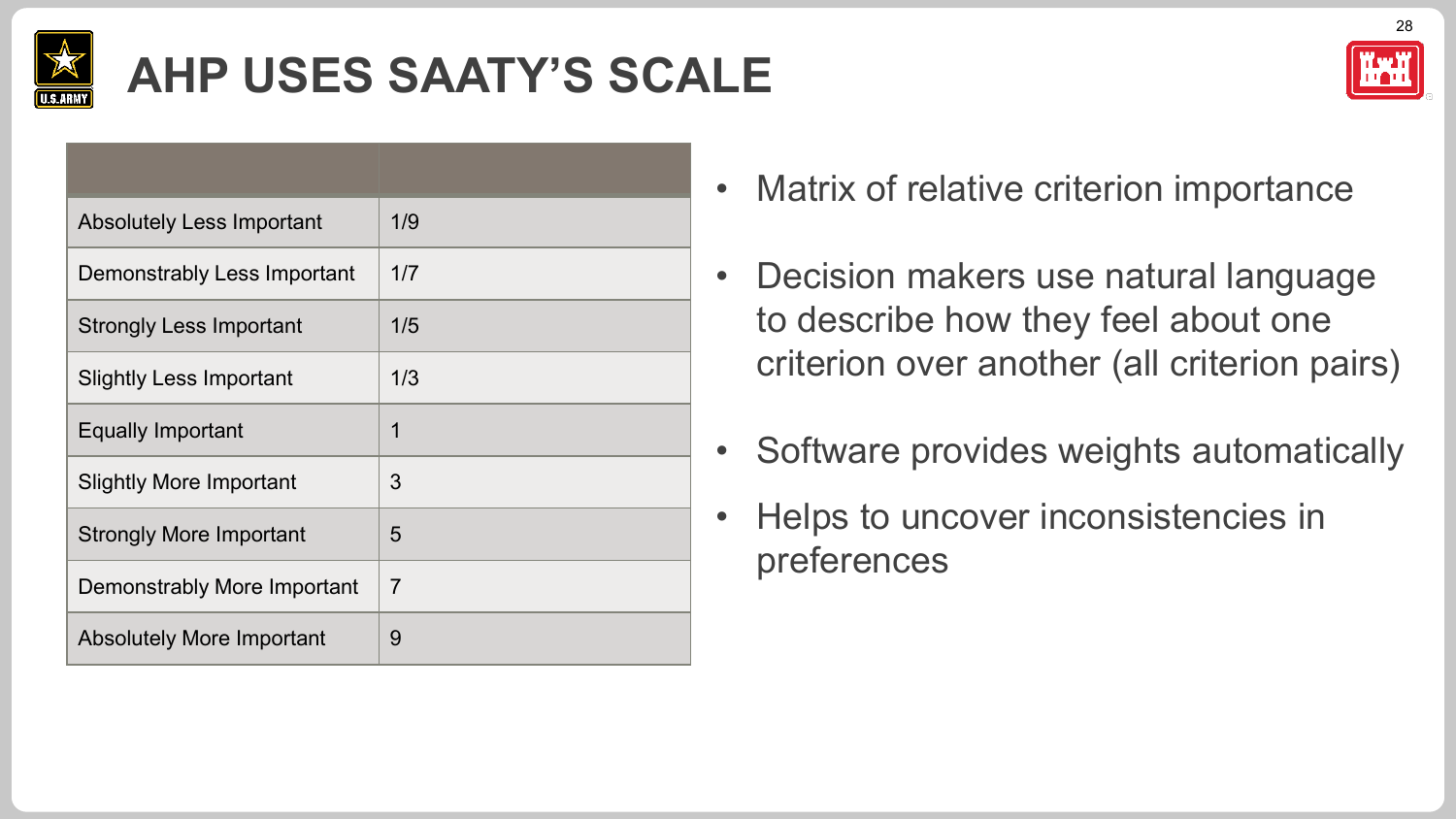

## **AHP USES SAATY'S SCALE**

| <b>Absolutely Less Important</b> | 1/9            |
|----------------------------------|----------------|
| Demonstrably Less Important      | 1/7            |
| <b>Strongly Less Important</b>   | 1/5            |
| <b>Slightly Less Important</b>   | 1/3            |
| <b>Equally Important</b>         | 1              |
| <b>Slightly More Important</b>   | 3              |
| <b>Strongly More Important</b>   | 5              |
| Demonstrably More Important      | $\overline{7}$ |
|                                  |                |



- Decision makers use natural language to describe how they feel about one criterion over another (all criterion pairs)
- Software provides weights automatically
- Helps to uncover inconsistencies in preferences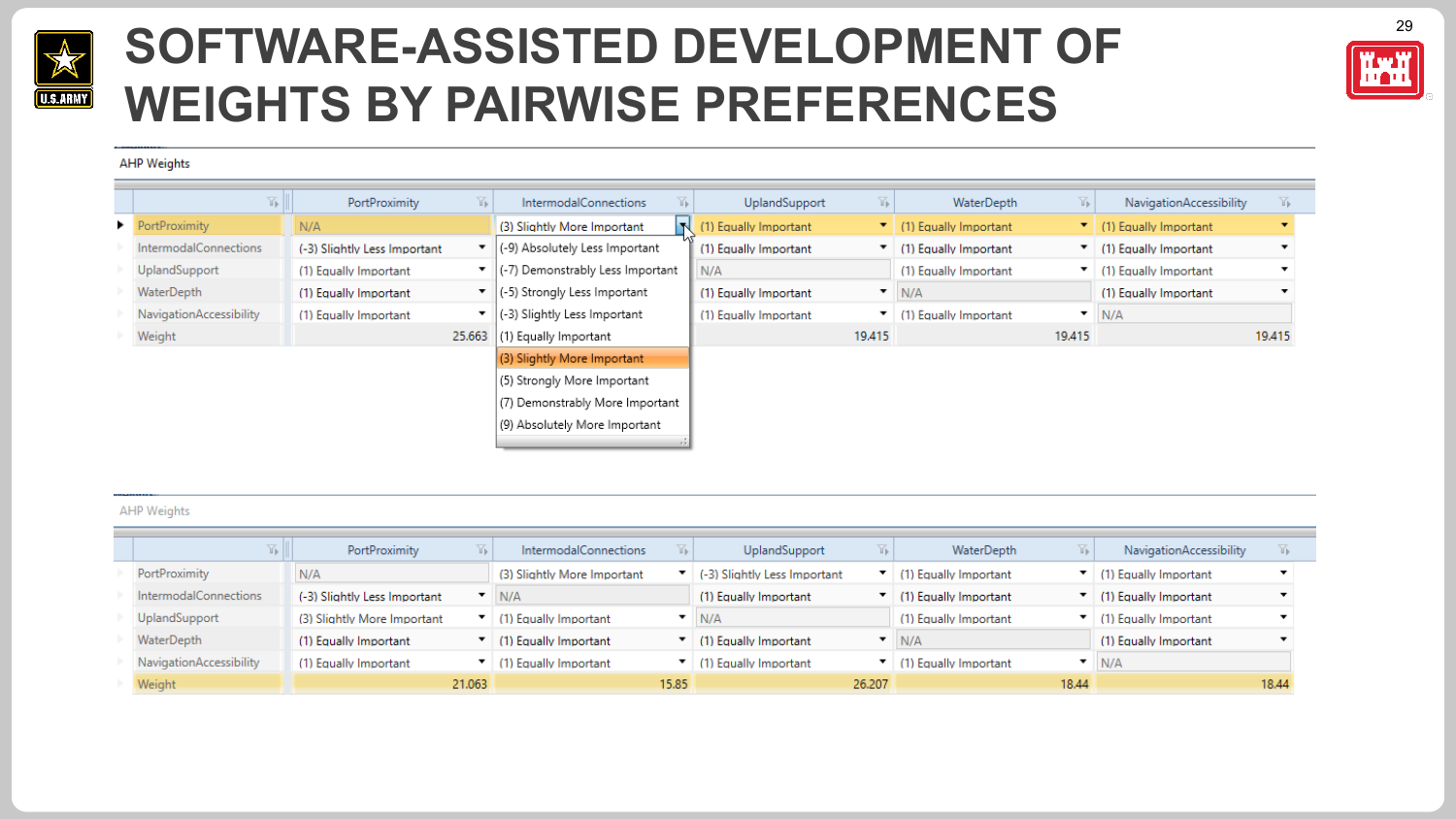

#### **SOFTWARE-ASSISTED DEVELOPMENT OF THE REFT WEIGHTS BY PAIRWISE PREFERENCES**



#### **AHP Weights**

| ¥.                      | <b>PortProximity</b>         | 诉      | Y).<br>IntermodalConnections                              | UplandSupport         | $\mathbb{F}^+$ | WaterDepth                           | $\mathbb{Y}_{\mathbb{P}}$ | NavigationAccessibility | 诉      |
|-------------------------|------------------------------|--------|-----------------------------------------------------------|-----------------------|----------------|--------------------------------------|---------------------------|-------------------------|--------|
| PortProximity           | N/A                          |        | N<br>(3) Slightly More Important                          | (1) Equally Important |                | $\blacksquare$ (1) Equally Important |                           | (1) Equally Important   |        |
| IntermodalConnections   | (-3) Slightly Less Important |        | $\bullet$ $\vert$ (-9) Absolutely Less Important          | (1) Equally Important |                | (1) Equally Important                |                           | (1) Equally Important   |        |
| UplandSupport           | (1) Equally Important        |        | ▼    (-7) Demonstrably Less Important                     | N/A                   |                | (1) Equally Important                |                           | (1) Equally Important   |        |
| WaterDepth              | (1) Equally Important        |        | ▼   (-5) Strongly Less Important                          | (1) Equally Important |                | N/A                                  |                           | (1) Equally Important   |        |
| NavigationAccessibility | (1) Equally Important        |        | $\blacktriangleright$ $\mid$ (-3) Slightly Less Important | (1) Equally Important |                | $\mathbf{I}$ (1) Equally Important   | ▼                         | N/A                     |        |
| Weight                  |                              | 25.663 | (1) Equally Important                                     |                       | 19,415         |                                      | 19.415                    |                         | 19.415 |
|                         |                              |        | (3) Slightly More Important                               |                       |                |                                      |                           |                         |        |
|                         |                              |        | (5) Strongly More Important                               |                       |                |                                      |                           |                         |        |
|                         |                              |        | (7) Demonstrably More Important                           |                       |                |                                      |                           |                         |        |
|                         |                              |        | (9) Absolutely More Important                             |                       |                |                                      |                           |                         |        |

#### AHP Weights

| Vb I                    | PortProximity                | ΥĿ.<br>IntermodalConnections                     | UplandSupport<br>Մ⊫          | YE.<br>WaterDepth     | <b>NavigationAccessibility</b> |
|-------------------------|------------------------------|--------------------------------------------------|------------------------------|-----------------------|--------------------------------|
| PortProximity           | N/A                          | (3) Slightly More Important                      | (-3) Slightly Less Important | (1) Equally Important | (1) Equally Important          |
| IntermodalConnections   | (-3) Slightly Less Important | $\blacksquare$ N/A                               | (1) Equally Important        | (1) Equally Important | (1) Equally Important          |
| UplandSupport           | (3) Slightly More Important  | $\blacksquare$ (1) Equally Important             | N/A                          | (1) Equally Important | (1) Equally Important          |
| WaterDepth              | (1) Equally Important        | ▼   (1) Equally Important                        | (1) Equally Important        | N/A                   | (1) Equally Important          |
| NavigationAccessibility | (1) Equally Important        | $\blacktriangleright$ (1) Equally Important<br>▼ | (1) Equally Important        | (1) Equally Important | N/A                            |
| Weight                  | 21.063                       | 15.85                                            | 26,207                       | 18.44                 | 18.44                          |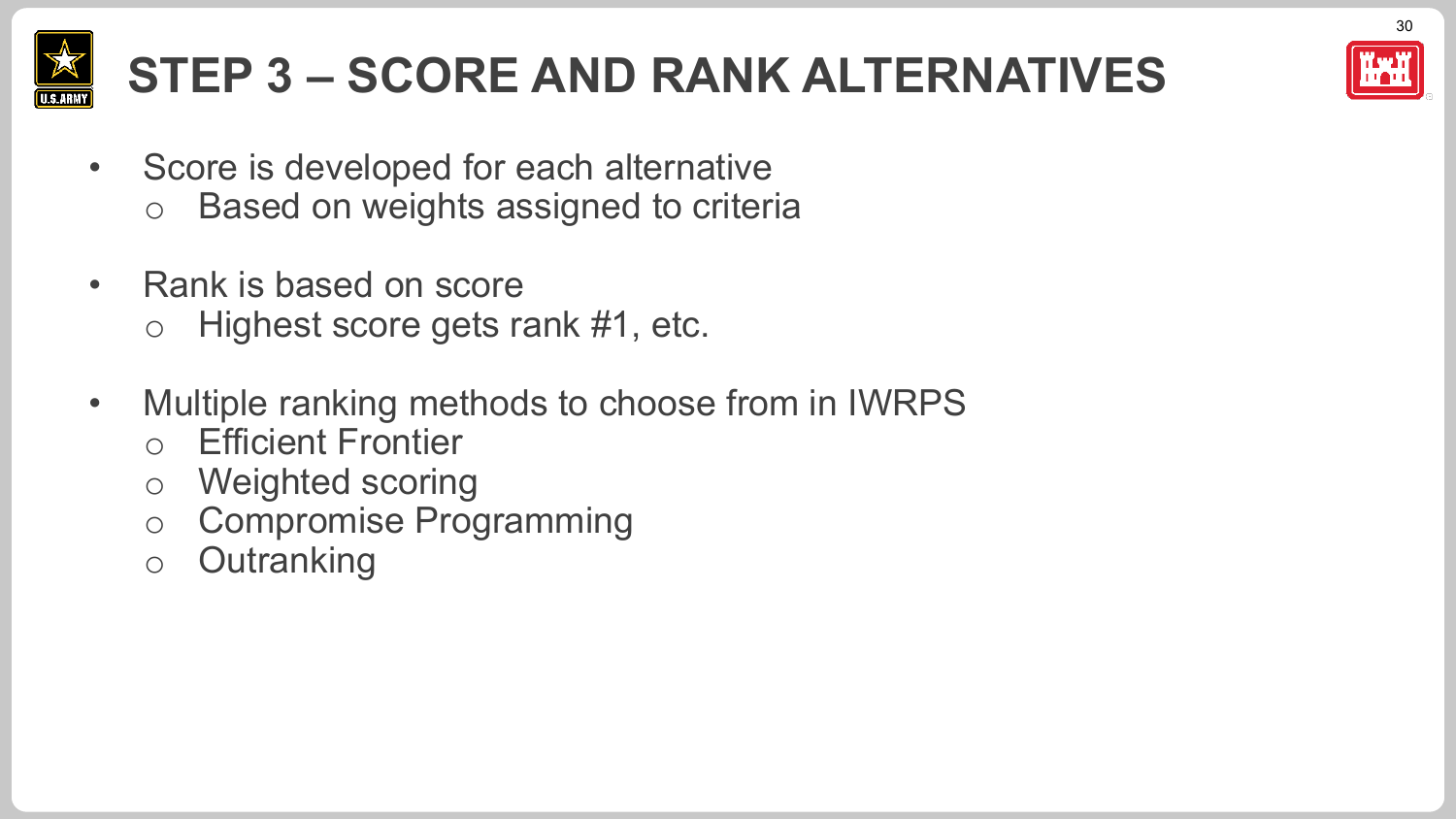

# **STEP 3 – SCORE AND RANK ALTERNATIVES**

- Score is developed for each alternative o Based on weights assigned to criteria
- Rank is based on score o Highest score gets rank #1, etc.
- Multiple ranking methods to choose from in IWRPS
	- o Efficient Frontier
	- o Weighted scoring
	- o Compromise Programming
	- o Outranking



30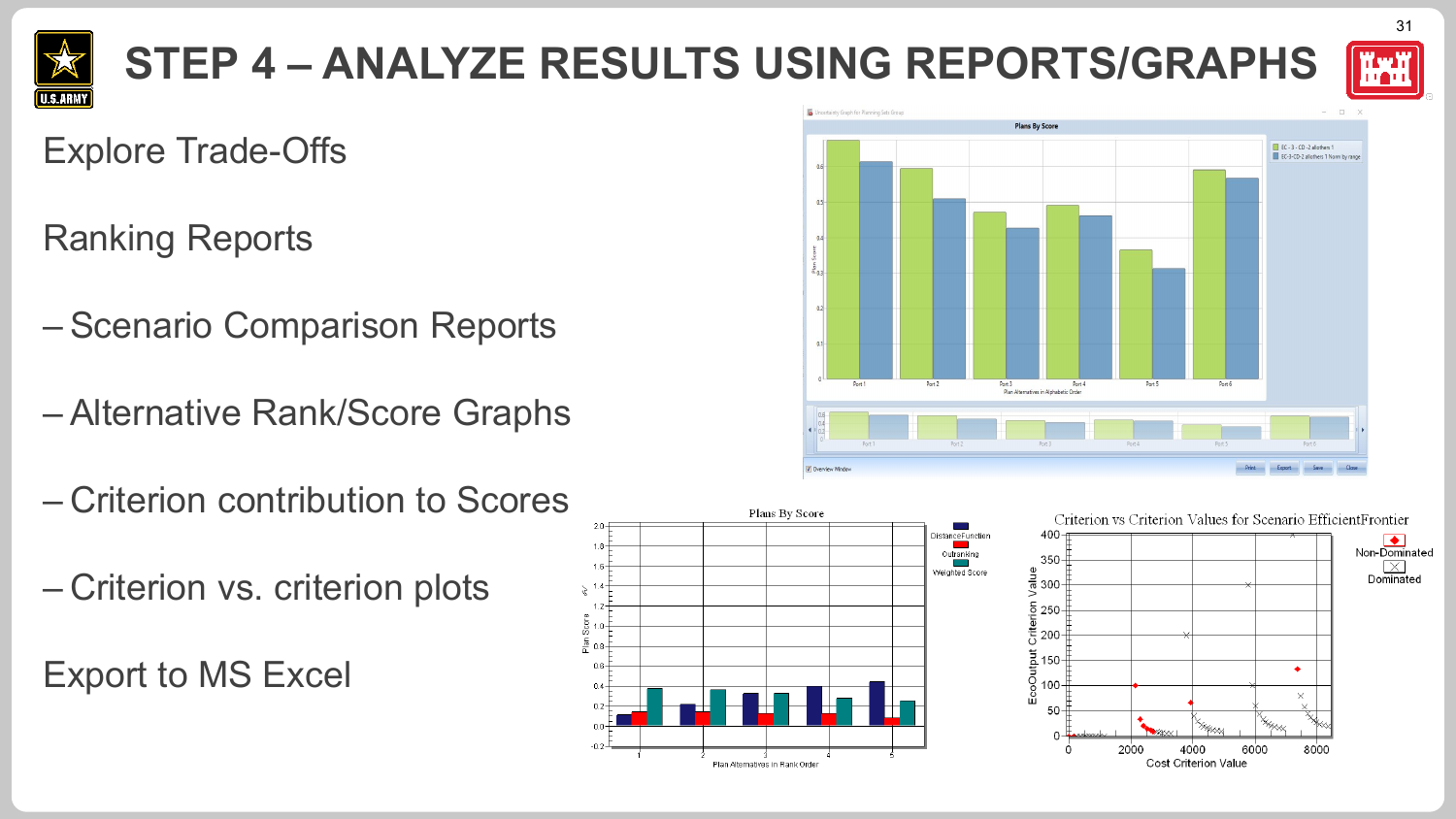

## **STEP 4 – ANALYZE RESULTS USING REPORTS/GRAPHS**



31

#### Explore Trade-Offs

- Ranking Reports
- Scenario Comparison Reports
- Alternative Rank/Score Graphs
- Criterion contribution to Scores
- Criterion vs. criterion plots

Export to MS Excel



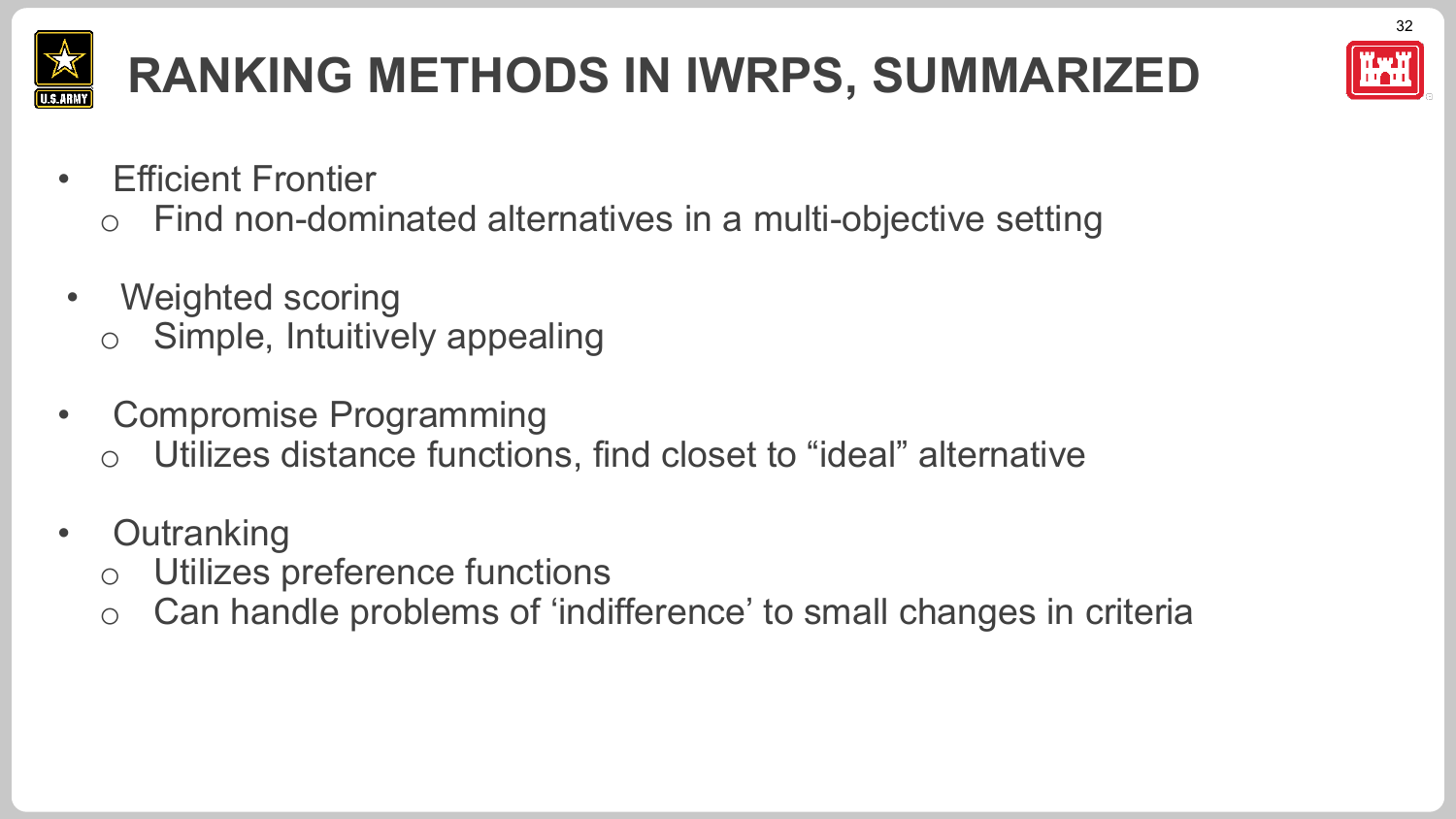

# **RANKING METHODS IN IWRPS, SUMMARIZED**



- **Efficient Frontier** 
	- o Find non-dominated alternatives in a multi-objective setting
- Weighted scoring o Simple, Intuitively appealing
- Compromise Programming
	- o Utilizes distance functions, find closet to "ideal" alternative
- **Outranking** 
	- o Utilizes preference functions
	- o Can handle problems of 'indifference' to small changes in criteria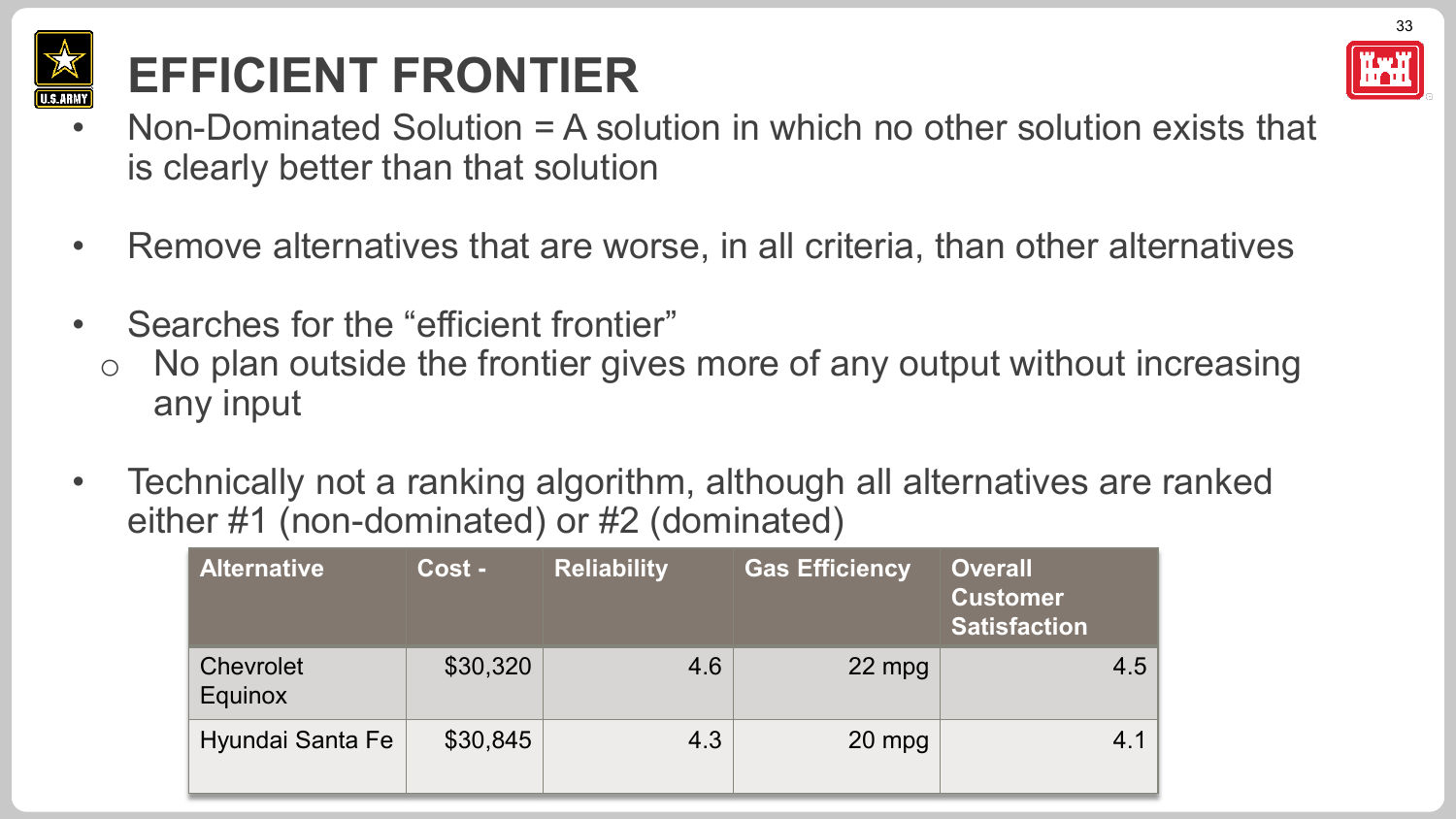

## **EFFICIENT FRONTIER**

- Non-Dominated Solution = A solution in which no other solution exists that is clearly better than that solution
- Remove alternatives that are worse, in all criteria, than other alternatives
- Searches for the "efficient frontier"
	- o No plan outside the frontier gives more of any output without increasing any input
- Technically not a ranking algorithm, although all alternatives are ranked either #1 (non-dominated) or #2 (dominated)

| <b>Alternative</b>          | Cost -   | <b>Reliability</b> | <b>Gas Efficiency</b> | <b>Overall</b><br><b>Customer</b><br><b>Satisfaction</b> |
|-----------------------------|----------|--------------------|-----------------------|----------------------------------------------------------|
| Chevrolet<br><b>Equinox</b> | \$30,320 | 4.6                | 22 mpg                | 4.5                                                      |
| Hyundai Santa Fe            | \$30,845 | 4.3                | 20 mpg                | 4.1                                                      |

33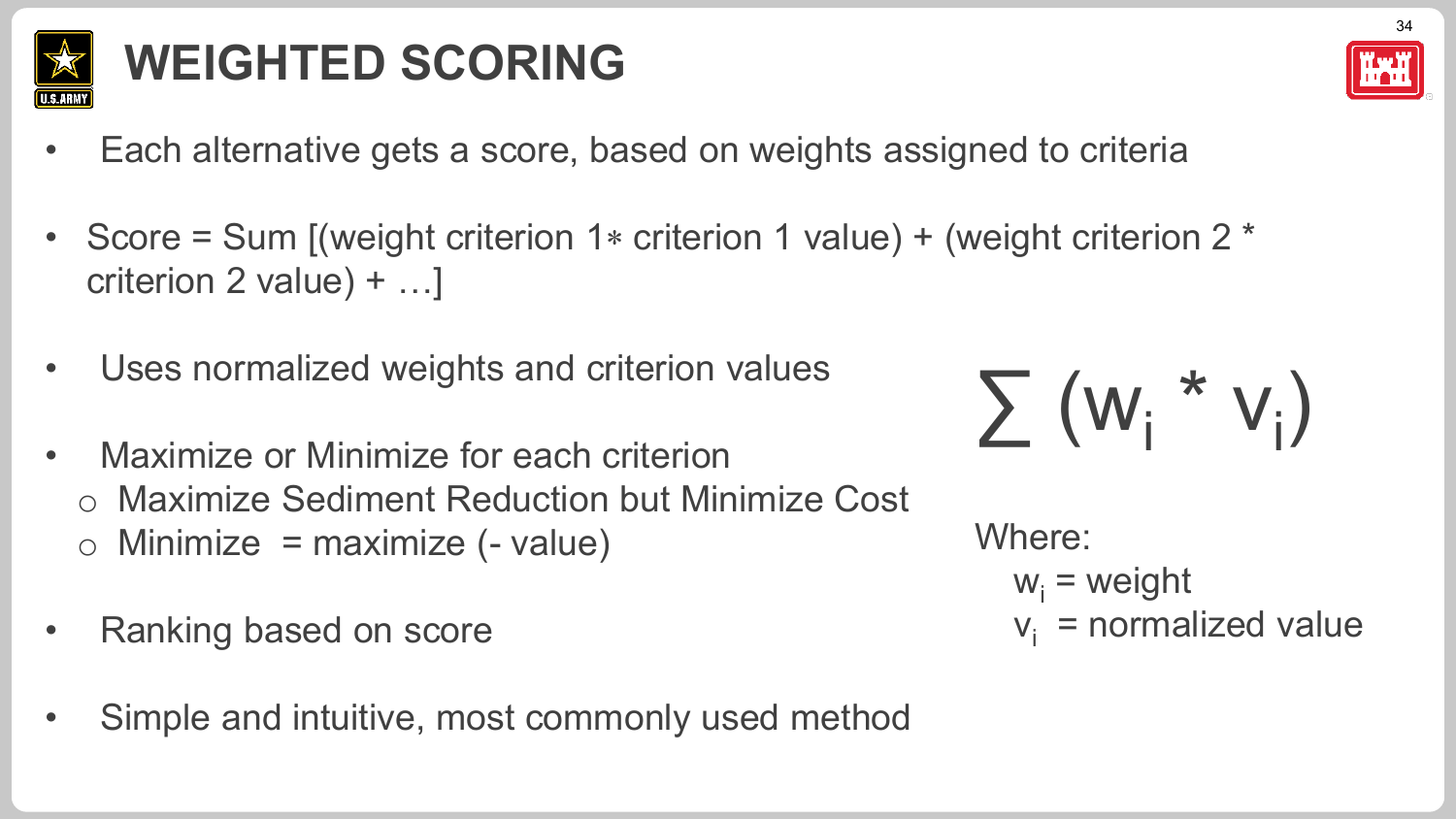

## **WEIGHTED SCORING**

- Each alternative gets a score, based on weights assigned to criteria
- Score = Sum [(weight criterion 1∗ criterion 1 value) + (weight criterion 2 \* criterion 2 value) + …]
- Uses normalized weights and criterion values
- Maximize or Minimize for each criterion o Maximize Sediment Reduction but Minimize Cost  $\circ$  Minimize = maximize (- value)
- Ranking based on score
- Simple and intuitive, most commonly used method



```
Where:
w_i = weight
v_i = normalized value
```
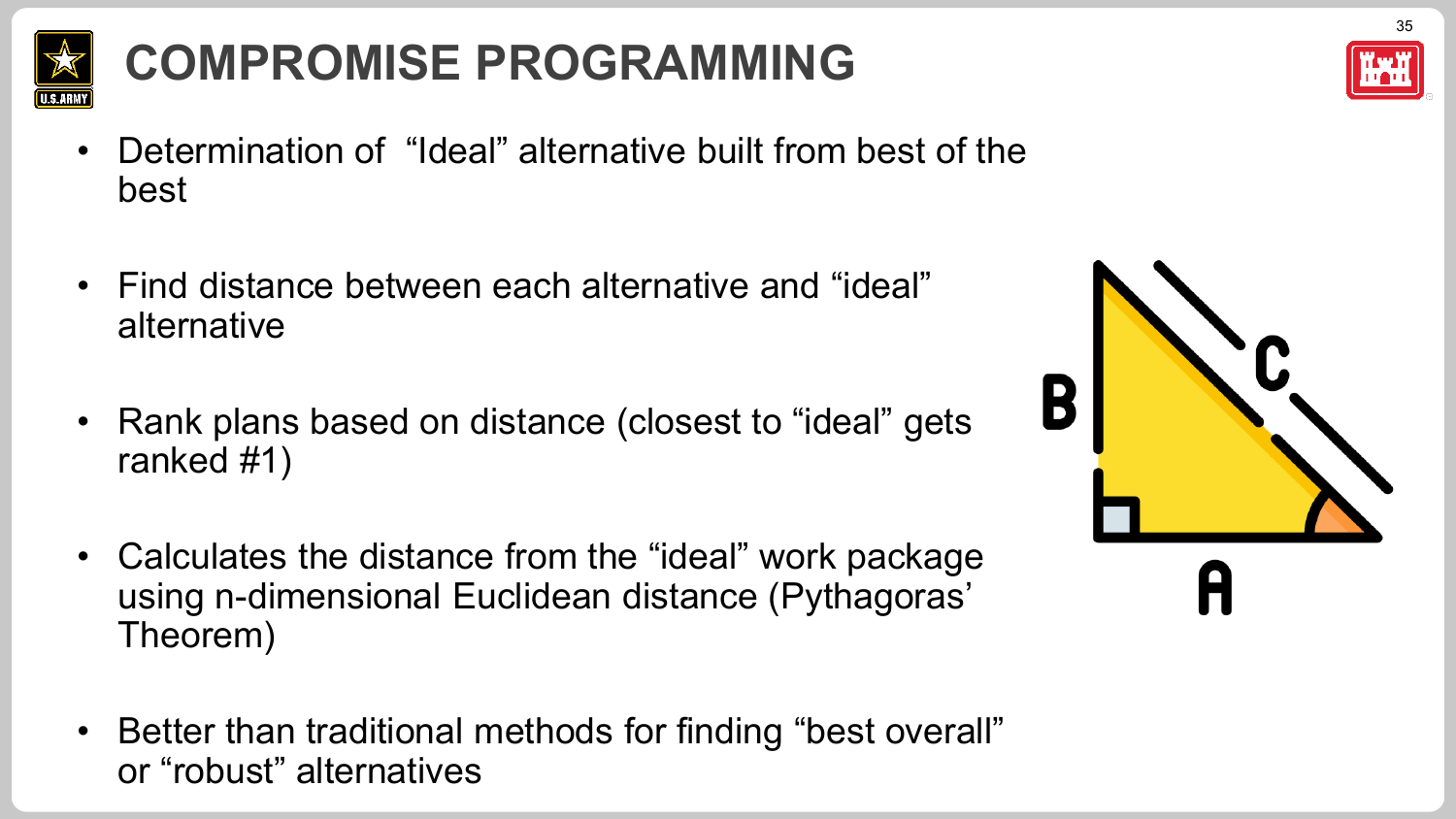

## **COMPROMISE PROGRAMMING**

- Determination of "Ideal" alternative built from best of the best
- Find distance between each alternative and "ideal" alternative
- Rank plans based on distance (closest to "ideal" gets ranked #1)
- Calculates the distance from the "ideal" work package using n-dimensional Euclidean distance (Pythagoras' Theorem)
- Better than traditional methods for finding "best overall" or "robust" alternatives



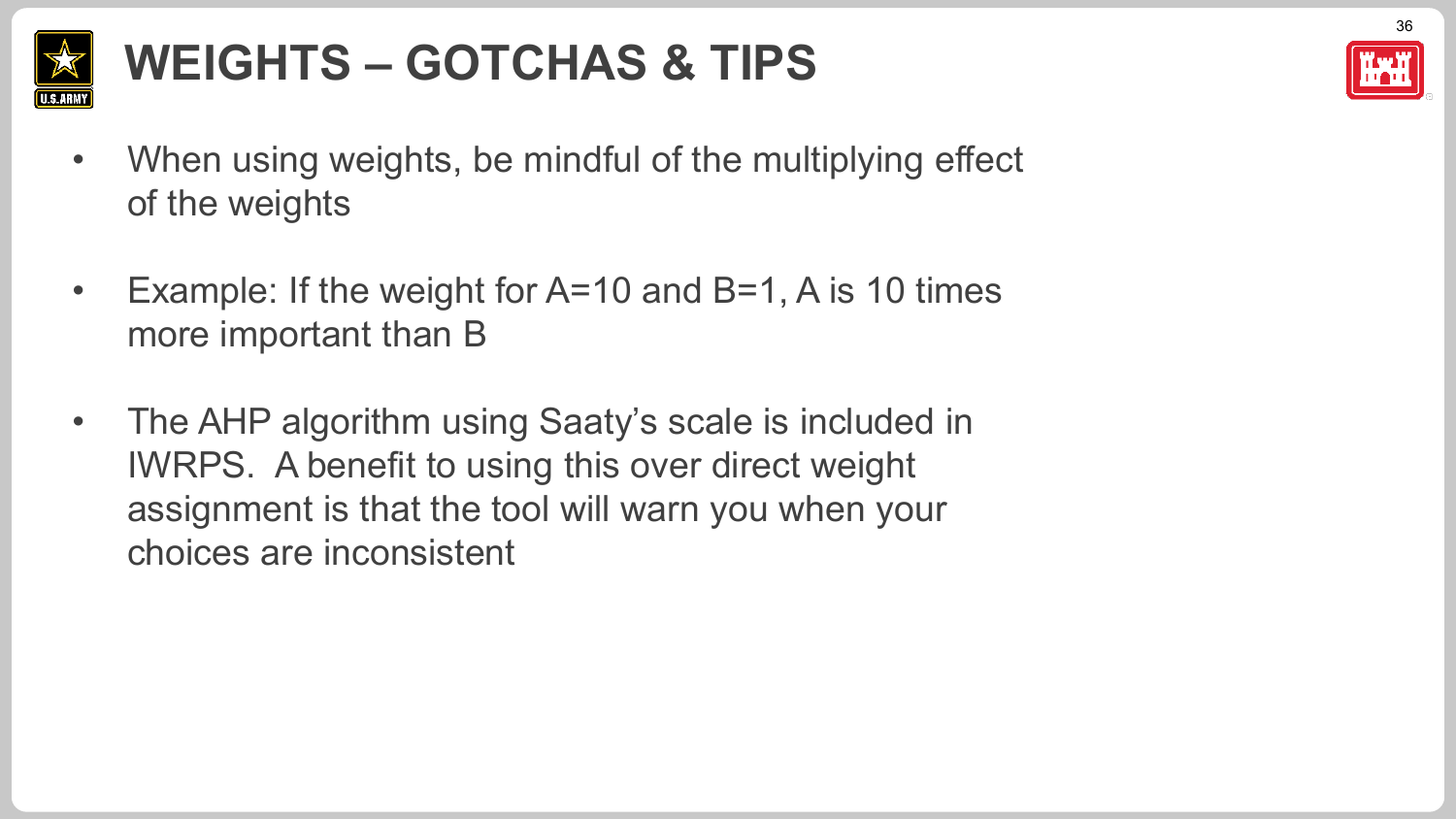

## **WEIGHTS – GOTCHAS & TIPS**

- When using weights, be mindful of the multiplying effect of the weights
- Example: If the weight for A=10 and B=1, A is 10 times more important than B
- The AHP algorithm using Saaty's scale is included in IWRPS. A benefit to using this over direct weight assignment is that the tool will warn you when your choices are inconsistent

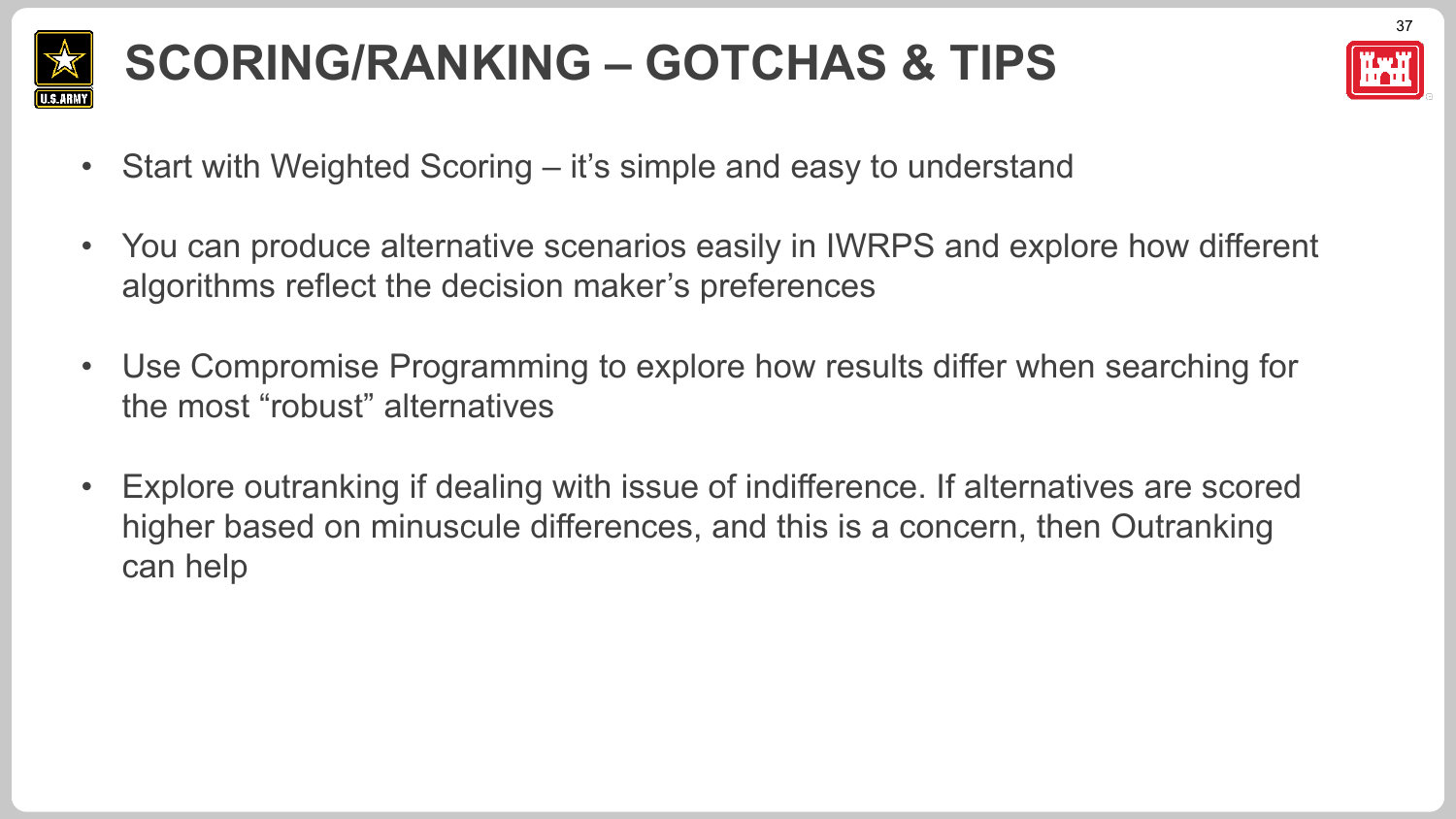

## **SCORING/RANKING – GOTCHAS & TIPS**



- Start with Weighted Scoring it's simple and easy to understand
- You can produce alternative scenarios easily in IWRPS and explore how different algorithms reflect the decision maker's preferences
- Use Compromise Programming to explore how results differ when searching for the most "robust" alternatives
- Explore outranking if dealing with issue of indifference. If alternatives are scored higher based on minuscule differences, and this is a concern, then Outranking can help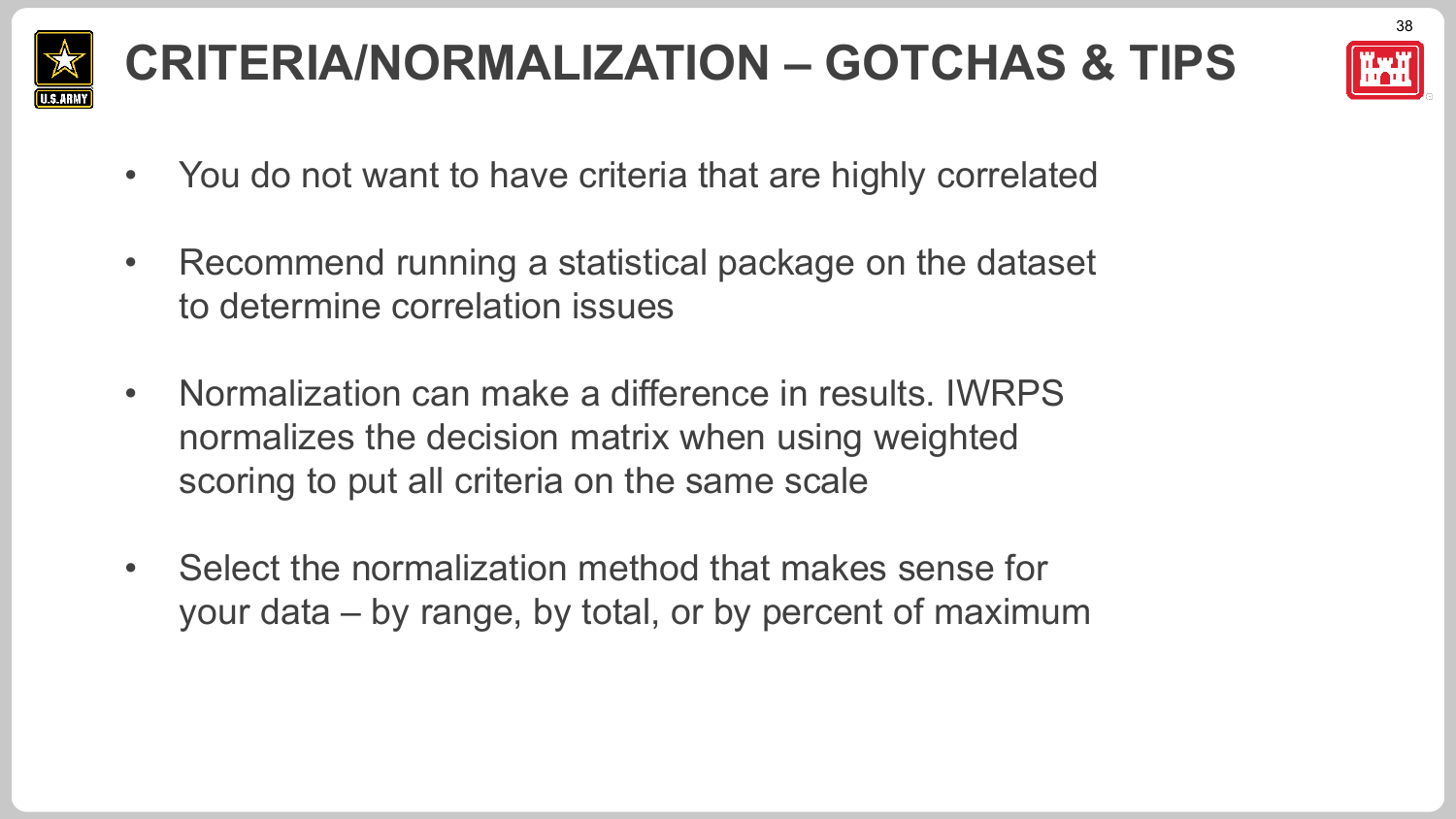

## **CRITERIA/NORMALIZATION – GOTCHAS & TIPS**



38

- You do not want to have criteria that are highly correlated
- Recommend running a statistical package on the dataset to determine correlation issues
- Normalization can make a difference in results. IWRPS normalizes the decision matrix when using weighted scoring to put all criteria on the same scale
- Select the normalization method that makes sense for your data – by range, by total, or by percent of maximum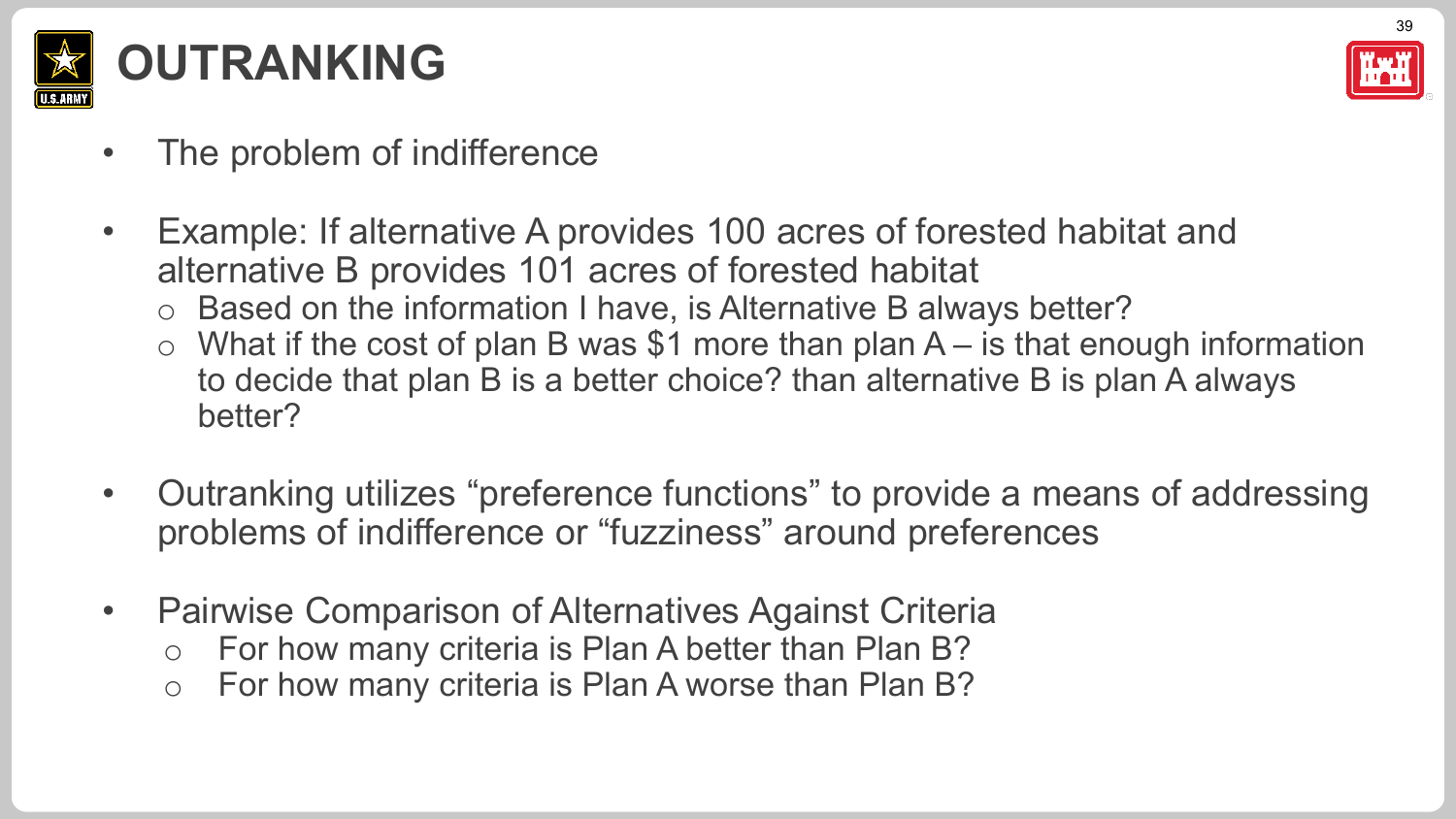



- The problem of indifference
- Example: If alternative A provides 100 acres of forested habitat and alternative B provides 101 acres of forested habitat
	- o Based on the information I have, is Alternative B always better?
	- $\circ$  What if the cost of plan B was \$1 more than plan A is that enough information to decide that plan B is a better choice? than alternative B is plan A always better?
- Outranking utilizes "preference functions" to provide a means of addressing problems of indifference or "fuzziness" around preferences
- Pairwise Comparison of Alternatives Against Criteria
	- o For how many criteria is Plan A better than Plan B?
	- o For how many criteria is Plan A worse than Plan B?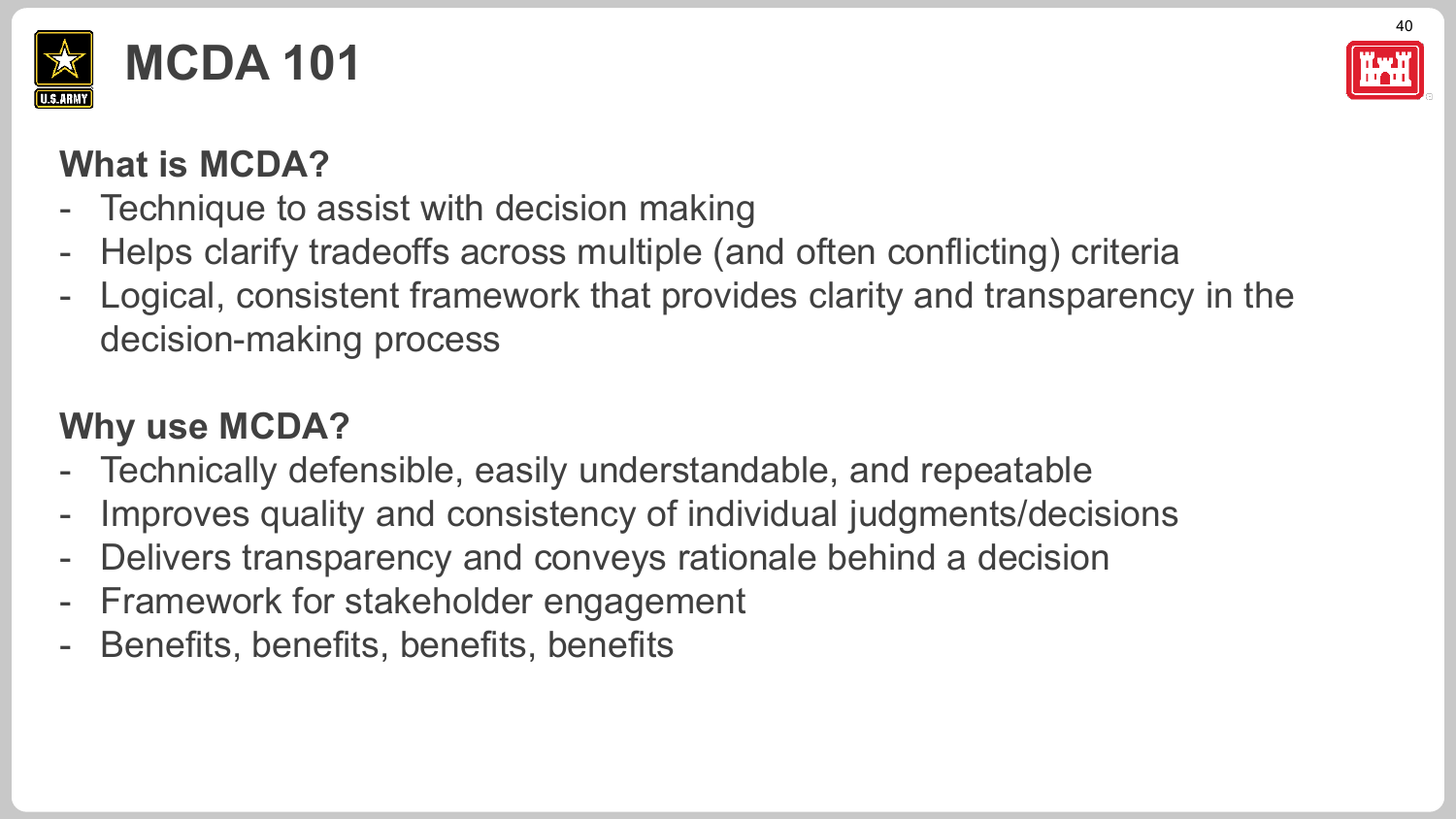



#### **What is MCDA?**

- Technique to assist with decision making
- Helps clarify tradeoffs across multiple (and often conflicting) criteria
- Logical, consistent framework that provides clarity and transparency in the decision-making process

#### **Why use MCDA?**

- Technically defensible, easily understandable, and repeatable
- Improves quality and consistency of individual judgments/decisions
- Delivers transparency and conveys rationale behind a decision
- Framework for stakeholder engagement
- Benefits, benefits, benefits, benefits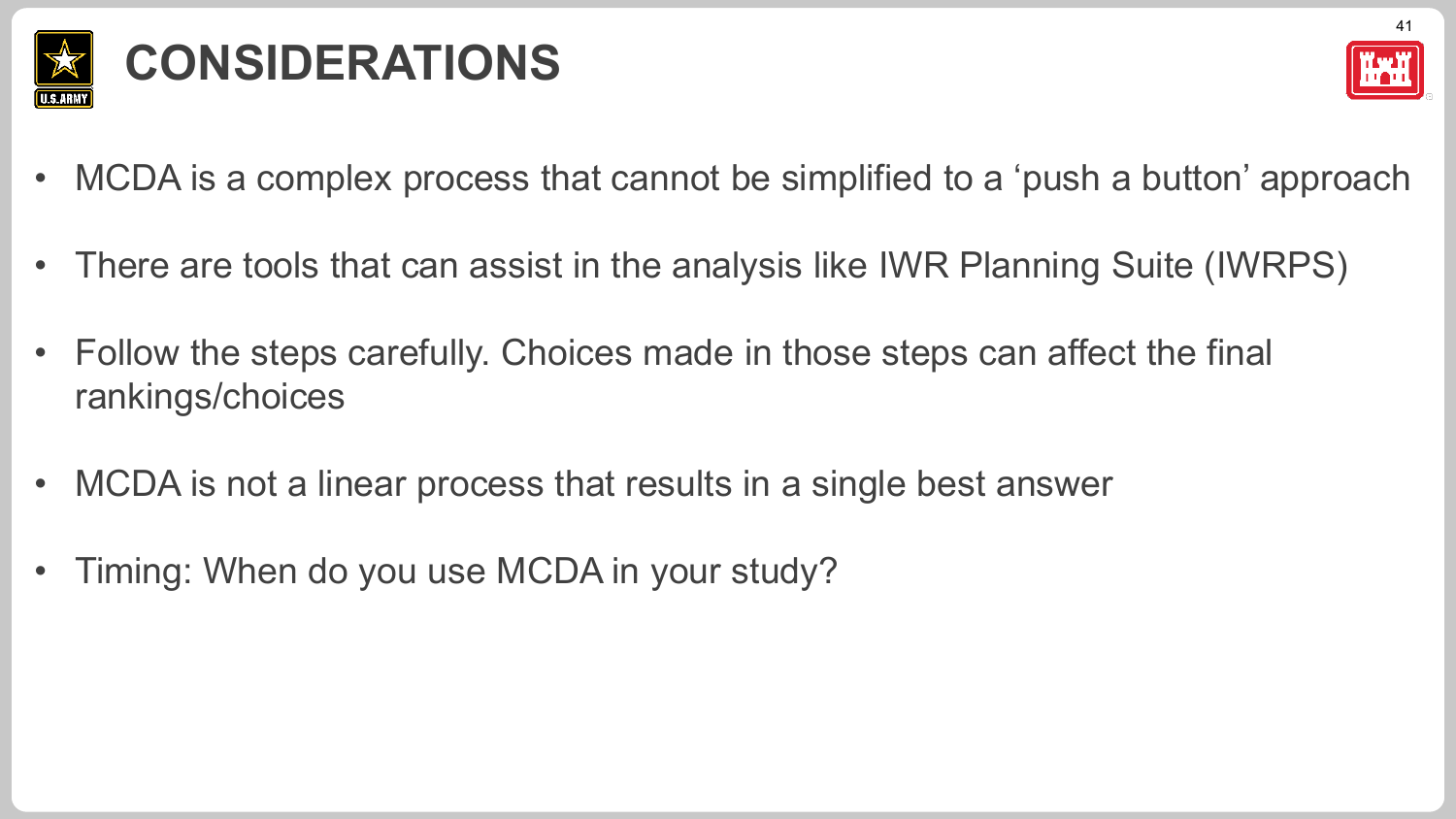

## **CONSIDERATIONS**



- MCDA is a complex process that cannot be simplified to a 'push a button' approach
- There are tools that can assist in the analysis like IWR Planning Suite (IWRPS)
- Follow the steps carefully. Choices made in those steps can affect the final rankings/choices
- MCDA is not a linear process that results in a single best answer
- Timing: When do you use MCDA in your study?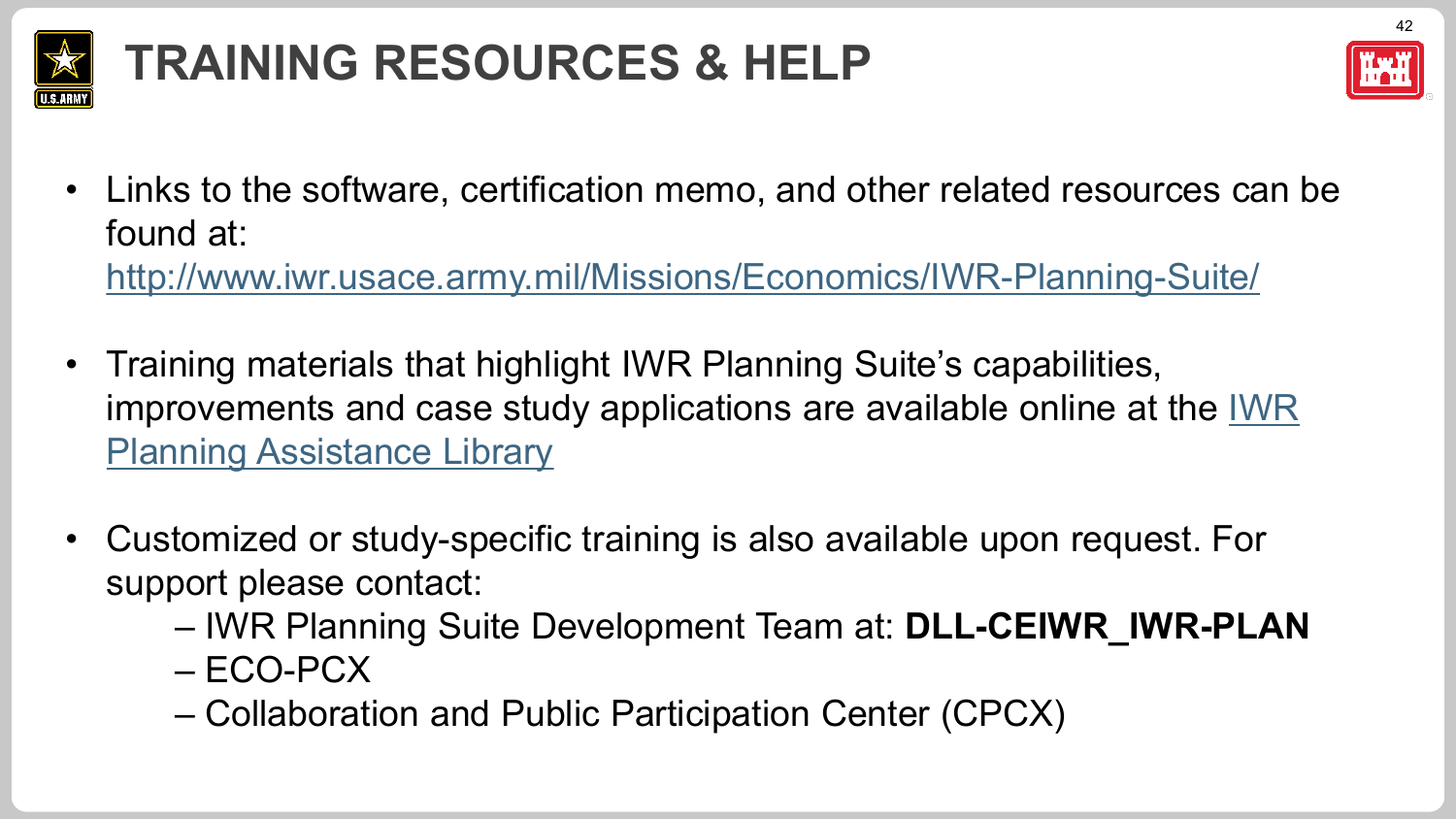

## **TRAINING RESOURCES & HELP**



• Links to the software, certification memo, and other related resources can be found at:

<http://www.iwr.usace.army.mil/Missions/Economics/IWR-Planning-Suite/>

- Training materials that highlight IWR Planning Suite's capabilities, [improvements and case study applications are available online at the IWR](https://publibrary.planusace.us/#/series/IWR%20Planning%20Suite)  **Planning Assistance Library**
- Customized or study-specific training is also available upon request. For support please contact:
	- IWR Planning Suite Development Team at: **DLL-CEIWR\_IWR-PLAN**
	- ECO-PCX
	- Collaboration and Public Participation Center (CPCX)